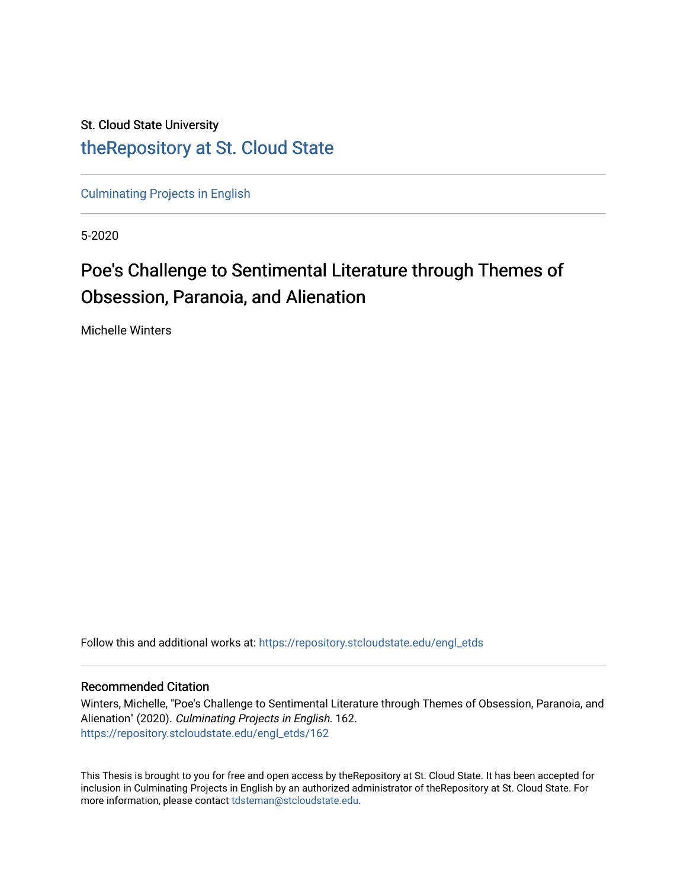# St. Cloud State University [theRepository at St. Cloud State](https://repository.stcloudstate.edu/)

[Culminating Projects in English](https://repository.stcloudstate.edu/engl_etds) 

5-2020

# Poe's Challenge to Sentimental Literature through Themes of Obsession, Paranoia, and Alienation

Michelle Winters

Follow this and additional works at: [https://repository.stcloudstate.edu/engl\\_etds](https://repository.stcloudstate.edu/engl_etds?utm_source=repository.stcloudstate.edu%2Fengl_etds%2F162&utm_medium=PDF&utm_campaign=PDFCoverPages)

### Recommended Citation

Winters, Michelle, "Poe's Challenge to Sentimental Literature through Themes of Obsession, Paranoia, and Alienation" (2020). Culminating Projects in English. 162. [https://repository.stcloudstate.edu/engl\\_etds/162](https://repository.stcloudstate.edu/engl_etds/162?utm_source=repository.stcloudstate.edu%2Fengl_etds%2F162&utm_medium=PDF&utm_campaign=PDFCoverPages)

This Thesis is brought to you for free and open access by theRepository at St. Cloud State. It has been accepted for inclusion in Culminating Projects in English by an authorized administrator of theRepository at St. Cloud State. For more information, please contact [tdsteman@stcloudstate.edu.](mailto:tdsteman@stcloudstate.edu)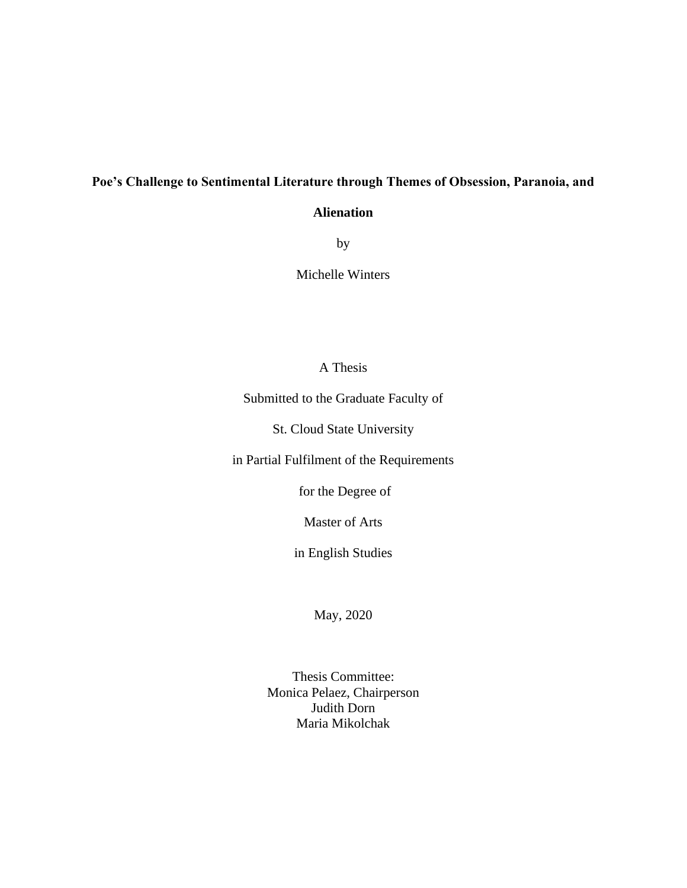## **Poe's Challenge to Sentimental Literature through Themes of Obsession, Paranoia, and**

### **Alienation**

by

Michelle Winters

## A Thesis

Submitted to the Graduate Faculty of

St. Cloud State University

in Partial Fulfilment of the Requirements

for the Degree of

Master of Arts

in English Studies

May, 2020

Thesis Committee: Monica Pelaez, Chairperson Judith Dorn Maria Mikolchak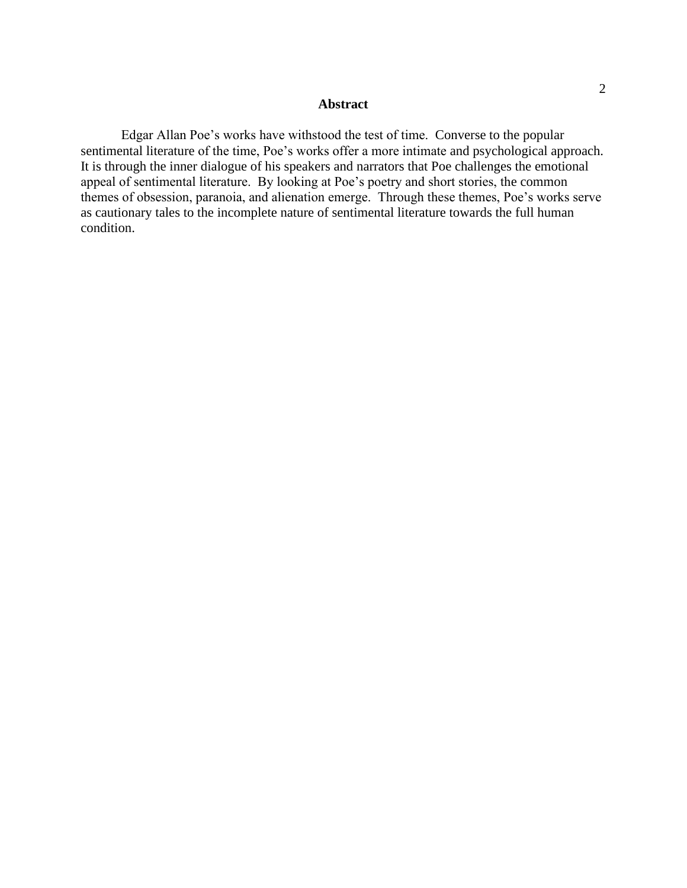#### **Abstract**

Edgar Allan Poe's works have withstood the test of time. Converse to the popular sentimental literature of the time, Poe's works offer a more intimate and psychological approach. It is through the inner dialogue of his speakers and narrators that Poe challenges the emotional appeal of sentimental literature. By looking at Poe's poetry and short stories, the common themes of obsession, paranoia, and alienation emerge. Through these themes, Poe's works serve as cautionary tales to the incomplete nature of sentimental literature towards the full human condition.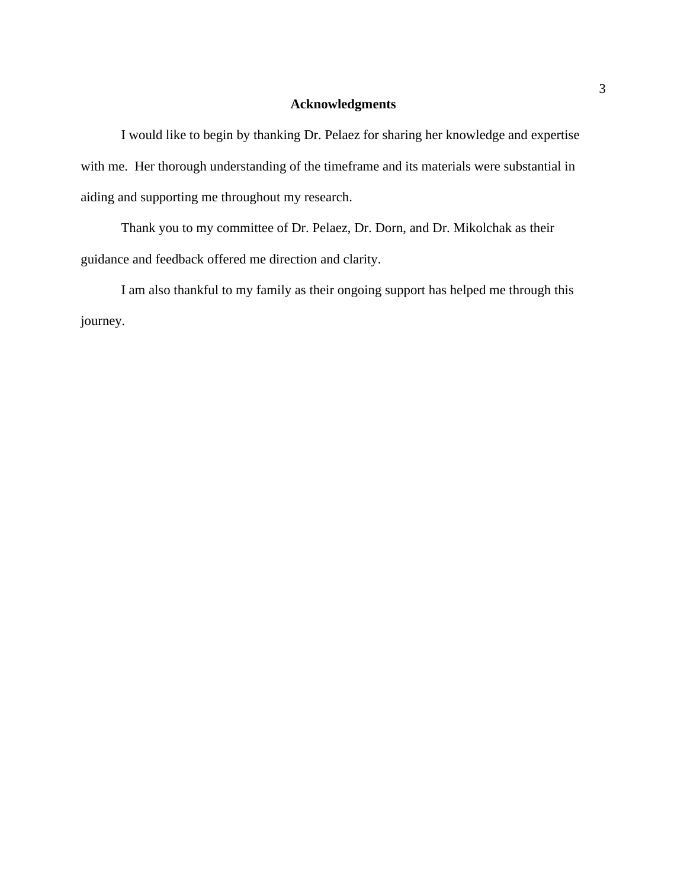### **Acknowledgments**

I would like to begin by thanking Dr. Pelaez for sharing her knowledge and expertise with me. Her thorough understanding of the timeframe and its materials were substantial in aiding and supporting me throughout my research.

Thank you to my committee of Dr. Pelaez, Dr. Dorn, and Dr. Mikolchak as their guidance and feedback offered me direction and clarity.

I am also thankful to my family as their ongoing support has helped me through this journey.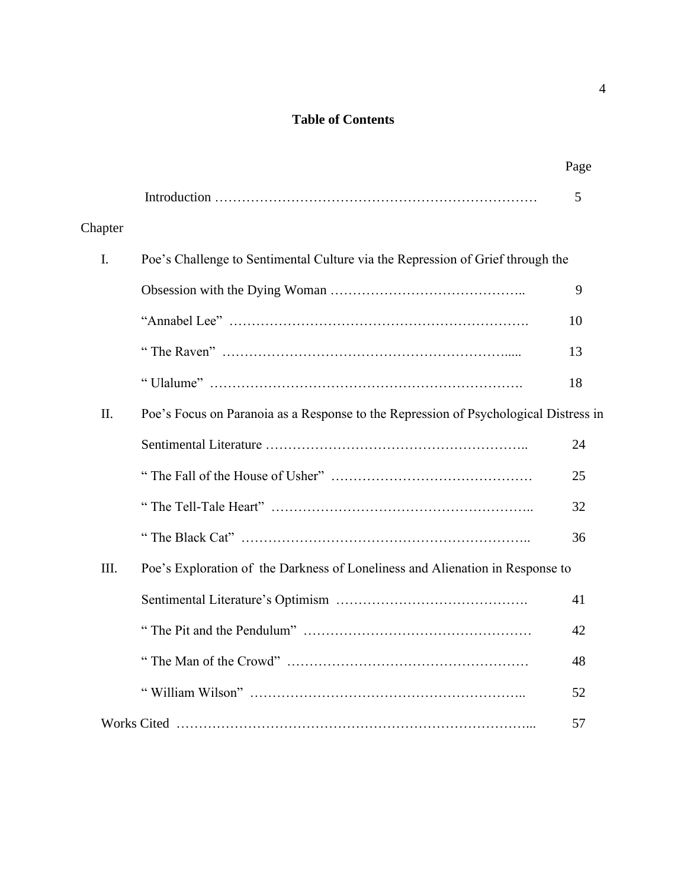## **Table of Contents**

|                |                                                                                      | Page |
|----------------|--------------------------------------------------------------------------------------|------|
|                |                                                                                      | 5    |
| Chapter        |                                                                                      |      |
| $\mathbf{I}$ . | Poe's Challenge to Sentimental Culture via the Repression of Grief through the       |      |
|                |                                                                                      | 9    |
|                |                                                                                      | 10   |
|                |                                                                                      | 13   |
|                |                                                                                      | 18   |
| II.            | Poe's Focus on Paranoia as a Response to the Repression of Psychological Distress in |      |
|                |                                                                                      | 24   |
|                |                                                                                      | 25   |
|                |                                                                                      | 32   |
|                |                                                                                      | 36   |
| III.           | Poe's Exploration of the Darkness of Loneliness and Alienation in Response to        |      |
|                |                                                                                      | 41   |
|                |                                                                                      | 42   |
|                |                                                                                      | 48   |
|                |                                                                                      | 52   |
|                |                                                                                      | 57   |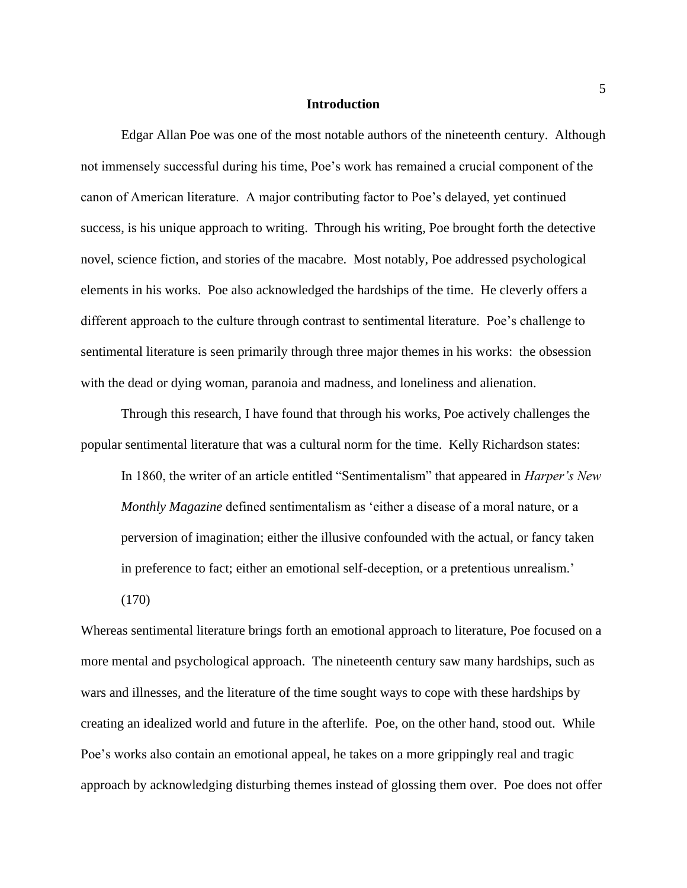#### **Introduction**

Edgar Allan Poe was one of the most notable authors of the nineteenth century. Although not immensely successful during his time, Poe's work has remained a crucial component of the canon of American literature. A major contributing factor to Poe's delayed, yet continued success, is his unique approach to writing. Through his writing, Poe brought forth the detective novel, science fiction, and stories of the macabre. Most notably, Poe addressed psychological elements in his works. Poe also acknowledged the hardships of the time. He cleverly offers a different approach to the culture through contrast to sentimental literature. Poe's challenge to sentimental literature is seen primarily through three major themes in his works: the obsession with the dead or dying woman, paranoia and madness, and loneliness and alienation.

Through this research, I have found that through his works, Poe actively challenges the popular sentimental literature that was a cultural norm for the time. Kelly Richardson states:

In 1860, the writer of an article entitled "Sentimentalism" that appeared in *Harper's New Monthly Magazine* defined sentimentalism as 'either a disease of a moral nature, or a perversion of imagination; either the illusive confounded with the actual, or fancy taken in preference to fact; either an emotional self-deception, or a pretentious unrealism.'

(170)

Whereas sentimental literature brings forth an emotional approach to literature, Poe focused on a more mental and psychological approach. The nineteenth century saw many hardships, such as wars and illnesses, and the literature of the time sought ways to cope with these hardships by creating an idealized world and future in the afterlife. Poe, on the other hand, stood out. While Poe's works also contain an emotional appeal, he takes on a more grippingly real and tragic approach by acknowledging disturbing themes instead of glossing them over. Poe does not offer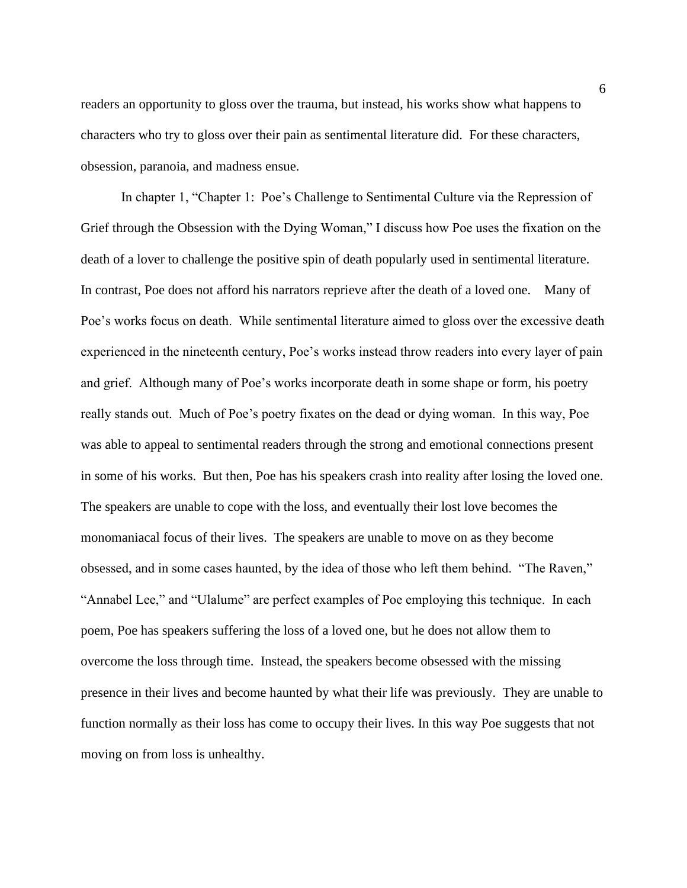readers an opportunity to gloss over the trauma, but instead, his works show what happens to characters who try to gloss over their pain as sentimental literature did. For these characters, obsession, paranoia, and madness ensue.

In chapter 1, "Chapter 1: Poe's Challenge to Sentimental Culture via the Repression of Grief through the Obsession with the Dying Woman," I discuss how Poe uses the fixation on the death of a lover to challenge the positive spin of death popularly used in sentimental literature. In contrast, Poe does not afford his narrators reprieve after the death of a loved one. Many of Poe's works focus on death. While sentimental literature aimed to gloss over the excessive death experienced in the nineteenth century, Poe's works instead throw readers into every layer of pain and grief. Although many of Poe's works incorporate death in some shape or form, his poetry really stands out. Much of Poe's poetry fixates on the dead or dying woman. In this way, Poe was able to appeal to sentimental readers through the strong and emotional connections present in some of his works. But then, Poe has his speakers crash into reality after losing the loved one. The speakers are unable to cope with the loss, and eventually their lost love becomes the monomaniacal focus of their lives. The speakers are unable to move on as they become obsessed, and in some cases haunted, by the idea of those who left them behind. "The Raven," "Annabel Lee," and "Ulalume" are perfect examples of Poe employing this technique. In each poem, Poe has speakers suffering the loss of a loved one, but he does not allow them to overcome the loss through time. Instead, the speakers become obsessed with the missing presence in their lives and become haunted by what their life was previously. They are unable to function normally as their loss has come to occupy their lives. In this way Poe suggests that not moving on from loss is unhealthy.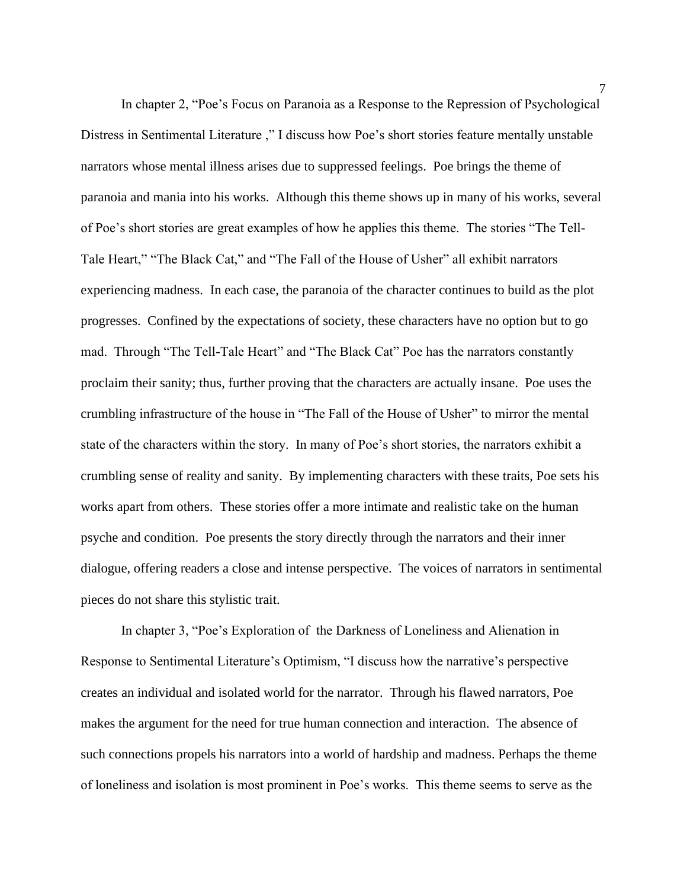In chapter 2, "Poe's Focus on Paranoia as a Response to the Repression of Psychological Distress in Sentimental Literature ," I discuss how Poe's short stories feature mentally unstable narrators whose mental illness arises due to suppressed feelings. Poe brings the theme of paranoia and mania into his works. Although this theme shows up in many of his works, several of Poe's short stories are great examples of how he applies this theme. The stories "The Tell-Tale Heart," "The Black Cat," and "The Fall of the House of Usher" all exhibit narrators experiencing madness. In each case, the paranoia of the character continues to build as the plot progresses. Confined by the expectations of society, these characters have no option but to go mad. Through "The Tell-Tale Heart" and "The Black Cat" Poe has the narrators constantly proclaim their sanity; thus, further proving that the characters are actually insane. Poe uses the crumbling infrastructure of the house in "The Fall of the House of Usher" to mirror the mental state of the characters within the story. In many of Poe's short stories, the narrators exhibit a crumbling sense of reality and sanity. By implementing characters with these traits, Poe sets his works apart from others. These stories offer a more intimate and realistic take on the human psyche and condition. Poe presents the story directly through the narrators and their inner dialogue, offering readers a close and intense perspective. The voices of narrators in sentimental pieces do not share this stylistic trait.

In chapter 3, "Poe's Exploration of the Darkness of Loneliness and Alienation in Response to Sentimental Literature's Optimism, "I discuss how the narrative's perspective creates an individual and isolated world for the narrator. Through his flawed narrators, Poe makes the argument for the need for true human connection and interaction. The absence of such connections propels his narrators into a world of hardship and madness. Perhaps the theme of loneliness and isolation is most prominent in Poe's works. This theme seems to serve as the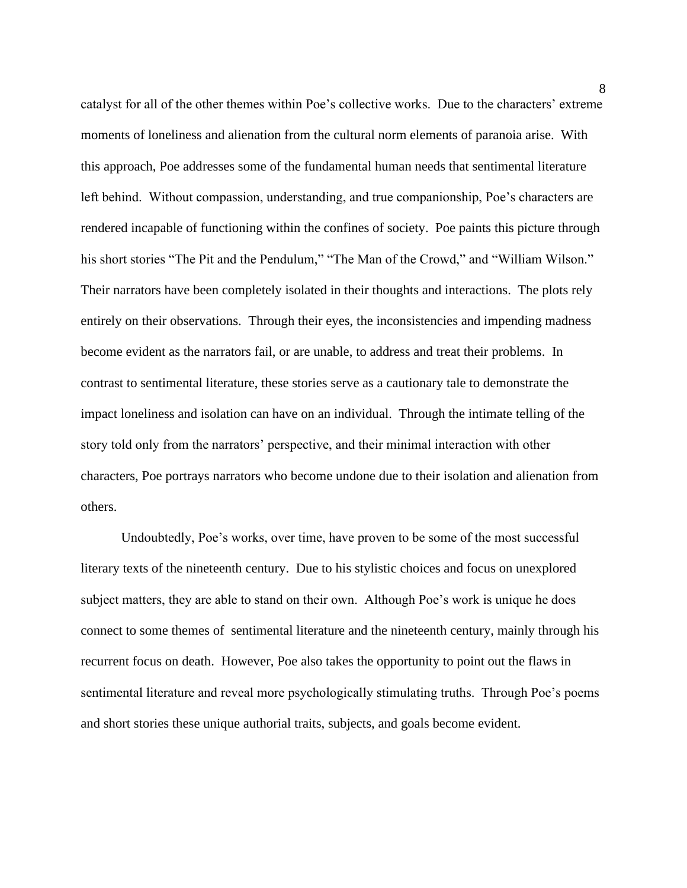catalyst for all of the other themes within Poe's collective works. Due to the characters' extreme moments of loneliness and alienation from the cultural norm elements of paranoia arise. With this approach, Poe addresses some of the fundamental human needs that sentimental literature left behind. Without compassion, understanding, and true companionship, Poe's characters are rendered incapable of functioning within the confines of society. Poe paints this picture through his short stories "The Pit and the Pendulum," "The Man of the Crowd," and "William Wilson." Their narrators have been completely isolated in their thoughts and interactions. The plots rely entirely on their observations. Through their eyes, the inconsistencies and impending madness become evident as the narrators fail, or are unable, to address and treat their problems. In contrast to sentimental literature, these stories serve as a cautionary tale to demonstrate the impact loneliness and isolation can have on an individual. Through the intimate telling of the story told only from the narrators' perspective, and their minimal interaction with other characters, Poe portrays narrators who become undone due to their isolation and alienation from others.

Undoubtedly, Poe's works, over time, have proven to be some of the most successful literary texts of the nineteenth century. Due to his stylistic choices and focus on unexplored subject matters, they are able to stand on their own. Although Poe's work is unique he does connect to some themes of sentimental literature and the nineteenth century, mainly through his recurrent focus on death. However, Poe also takes the opportunity to point out the flaws in sentimental literature and reveal more psychologically stimulating truths. Through Poe's poems and short stories these unique authorial traits, subjects, and goals become evident.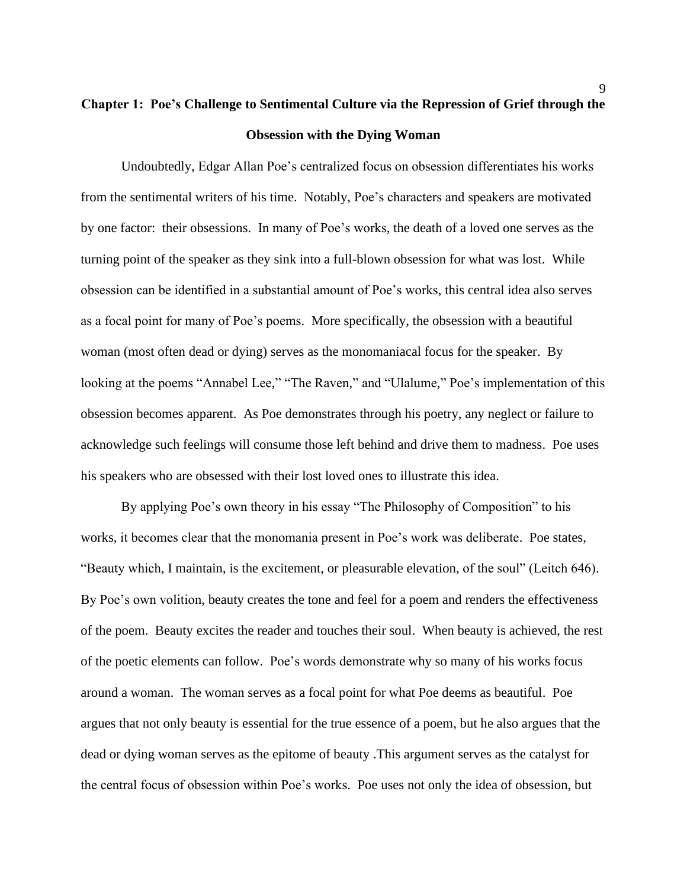# **Chapter 1: Poe's Challenge to Sentimental Culture via the Repression of Grief through the Obsession with the Dying Woman**

Undoubtedly, Edgar Allan Poe's centralized focus on obsession differentiates his works from the sentimental writers of his time. Notably, Poe's characters and speakers are motivated by one factor: their obsessions. In many of Poe's works, the death of a loved one serves as the turning point of the speaker as they sink into a full-blown obsession for what was lost. While obsession can be identified in a substantial amount of Poe's works, this central idea also serves as a focal point for many of Poe's poems. More specifically, the obsession with a beautiful woman (most often dead or dying) serves as the monomaniacal focus for the speaker. By looking at the poems "Annabel Lee," "The Raven," and "Ulalume," Poe's implementation of this obsession becomes apparent. As Poe demonstrates through his poetry, any neglect or failure to acknowledge such feelings will consume those left behind and drive them to madness. Poe uses his speakers who are obsessed with their lost loved ones to illustrate this idea.

By applying Poe's own theory in his essay "The Philosophy of Composition" to his works, it becomes clear that the monomania present in Poe's work was deliberate. Poe states, "Beauty which, I maintain, is the excitement, or pleasurable elevation, of the soul" (Leitch 646). By Poe's own volition, beauty creates the tone and feel for a poem and renders the effectiveness of the poem. Beauty excites the reader and touches their soul. When beauty is achieved, the rest of the poetic elements can follow. Poe's words demonstrate why so many of his works focus around a woman. The woman serves as a focal point for what Poe deems as beautiful. Poe argues that not only beauty is essential for the true essence of a poem, but he also argues that the dead or dying woman serves as the epitome of beauty .This argument serves as the catalyst for the central focus of obsession within Poe's works. Poe uses not only the idea of obsession, but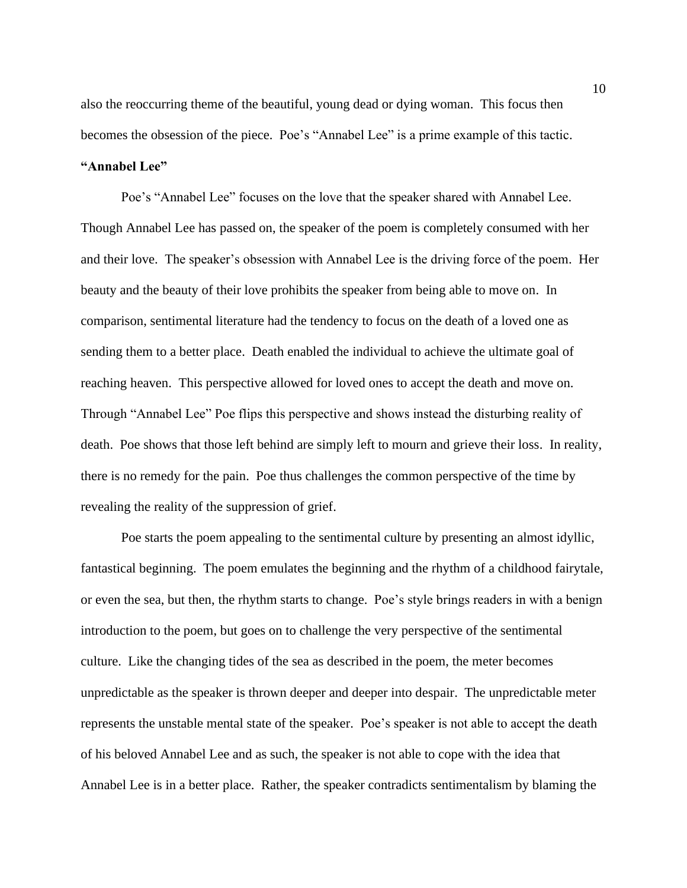also the reoccurring theme of the beautiful, young dead or dying woman. This focus then becomes the obsession of the piece. Poe's "Annabel Lee" is a prime example of this tactic. **"Annabel Lee"**

Poe's "Annabel Lee" focuses on the love that the speaker shared with Annabel Lee. Though Annabel Lee has passed on, the speaker of the poem is completely consumed with her and their love. The speaker's obsession with Annabel Lee is the driving force of the poem. Her beauty and the beauty of their love prohibits the speaker from being able to move on. In comparison, sentimental literature had the tendency to focus on the death of a loved one as sending them to a better place. Death enabled the individual to achieve the ultimate goal of reaching heaven. This perspective allowed for loved ones to accept the death and move on. Through "Annabel Lee" Poe flips this perspective and shows instead the disturbing reality of death. Poe shows that those left behind are simply left to mourn and grieve their loss. In reality, there is no remedy for the pain. Poe thus challenges the common perspective of the time by revealing the reality of the suppression of grief.

Poe starts the poem appealing to the sentimental culture by presenting an almost idyllic, fantastical beginning. The poem emulates the beginning and the rhythm of a childhood fairytale, or even the sea, but then, the rhythm starts to change. Poe's style brings readers in with a benign introduction to the poem, but goes on to challenge the very perspective of the sentimental culture. Like the changing tides of the sea as described in the poem, the meter becomes unpredictable as the speaker is thrown deeper and deeper into despair. The unpredictable meter represents the unstable mental state of the speaker. Poe's speaker is not able to accept the death of his beloved Annabel Lee and as such, the speaker is not able to cope with the idea that Annabel Lee is in a better place. Rather, the speaker contradicts sentimentalism by blaming the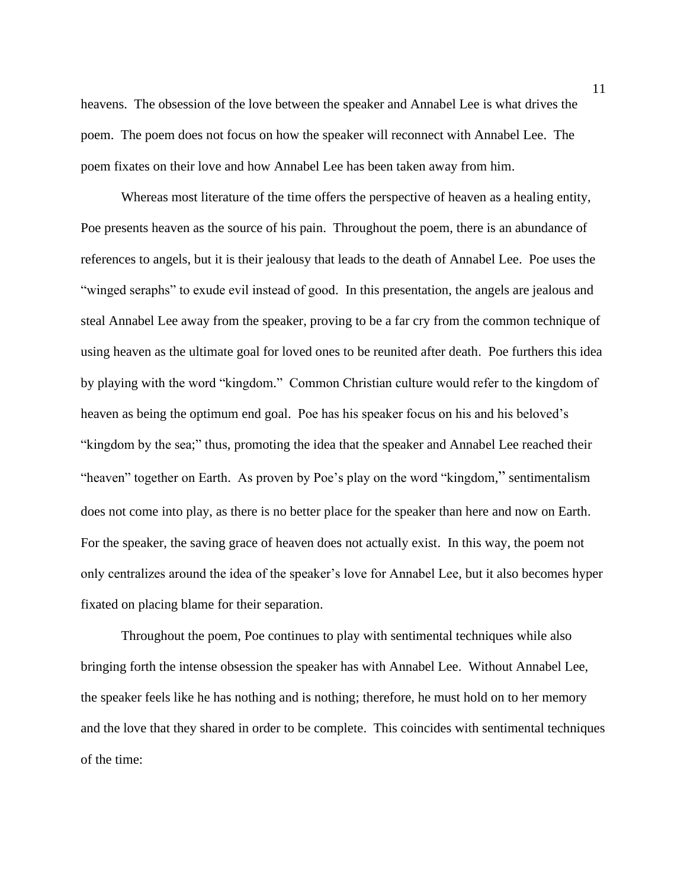heavens. The obsession of the love between the speaker and Annabel Lee is what drives the poem. The poem does not focus on how the speaker will reconnect with Annabel Lee. The poem fixates on their love and how Annabel Lee has been taken away from him.

Whereas most literature of the time offers the perspective of heaven as a healing entity, Poe presents heaven as the source of his pain. Throughout the poem, there is an abundance of references to angels, but it is their jealousy that leads to the death of Annabel Lee. Poe uses the "winged seraphs" to exude evil instead of good. In this presentation, the angels are jealous and steal Annabel Lee away from the speaker, proving to be a far cry from the common technique of using heaven as the ultimate goal for loved ones to be reunited after death. Poe furthers this idea by playing with the word "kingdom." Common Christian culture would refer to the kingdom of heaven as being the optimum end goal. Poe has his speaker focus on his and his beloved's "kingdom by the sea;" thus, promoting the idea that the speaker and Annabel Lee reached their "heaven" together on Earth. As proven by Poe's play on the word "kingdom," sentimentalism does not come into play, as there is no better place for the speaker than here and now on Earth. For the speaker, the saving grace of heaven does not actually exist. In this way, the poem not only centralizes around the idea of the speaker's love for Annabel Lee, but it also becomes hyper fixated on placing blame for their separation.

 Throughout the poem, Poe continues to play with sentimental techniques while also bringing forth the intense obsession the speaker has with Annabel Lee. Without Annabel Lee, the speaker feels like he has nothing and is nothing; therefore, he must hold on to her memory and the love that they shared in order to be complete. This coincides with sentimental techniques of the time: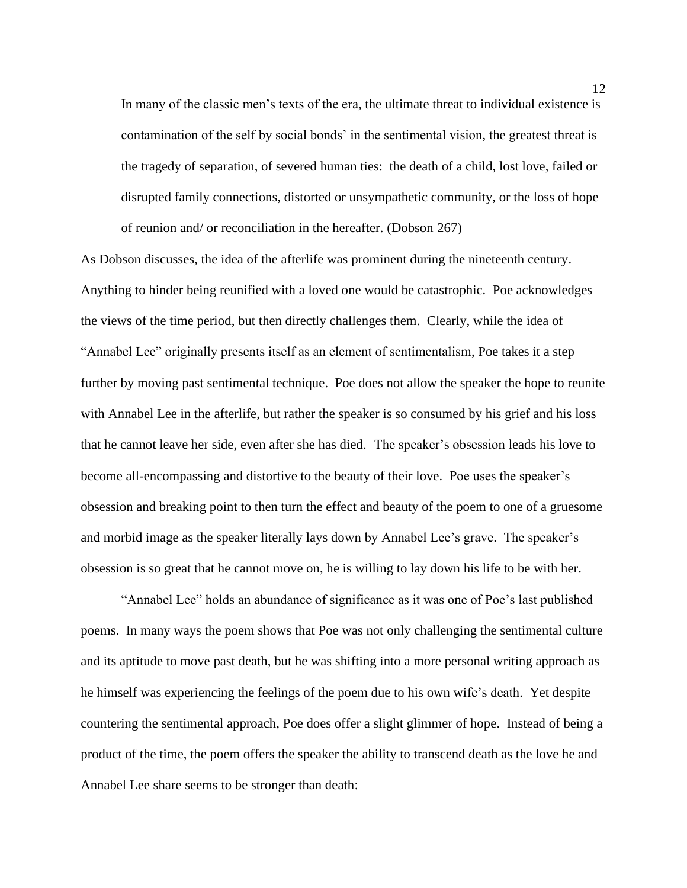In many of the classic men's texts of the era, the ultimate threat to individual existence is contamination of the self by social bonds' in the sentimental vision, the greatest threat is the tragedy of separation, of severed human ties: the death of a child, lost love, failed or disrupted family connections, distorted or unsympathetic community, or the loss of hope of reunion and/ or reconciliation in the hereafter. (Dobson 267)

As Dobson discusses, the idea of the afterlife was prominent during the nineteenth century. Anything to hinder being reunified with a loved one would be catastrophic. Poe acknowledges the views of the time period, but then directly challenges them. Clearly, while the idea of "Annabel Lee" originally presents itself as an element of sentimentalism, Poe takes it a step further by moving past sentimental technique. Poe does not allow the speaker the hope to reunite with Annabel Lee in the afterlife, but rather the speaker is so consumed by his grief and his loss that he cannot leave her side, even after she has died. The speaker's obsession leads his love to become all-encompassing and distortive to the beauty of their love. Poe uses the speaker's obsession and breaking point to then turn the effect and beauty of the poem to one of a gruesome and morbid image as the speaker literally lays down by Annabel Lee's grave. The speaker's obsession is so great that he cannot move on, he is willing to lay down his life to be with her.

"Annabel Lee" holds an abundance of significance as it was one of Poe's last published poems. In many ways the poem shows that Poe was not only challenging the sentimental culture and its aptitude to move past death, but he was shifting into a more personal writing approach as he himself was experiencing the feelings of the poem due to his own wife's death. Yet despite countering the sentimental approach, Poe does offer a slight glimmer of hope. Instead of being a product of the time, the poem offers the speaker the ability to transcend death as the love he and Annabel Lee share seems to be stronger than death: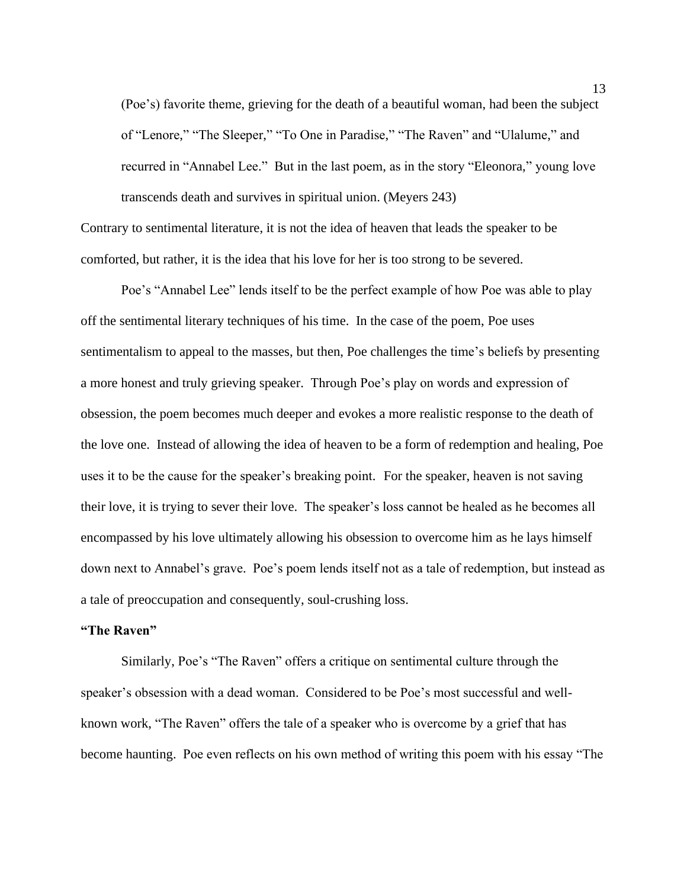(Poe's) favorite theme, grieving for the death of a beautiful woman, had been the subject of "Lenore," "The Sleeper," "To One in Paradise," "The Raven" and "Ulalume," and recurred in "Annabel Lee." But in the last poem, as in the story "Eleonora," young love transcends death and survives in spiritual union. (Meyers 243)

Contrary to sentimental literature, it is not the idea of heaven that leads the speaker to be comforted, but rather, it is the idea that his love for her is too strong to be severed.

Poe's "Annabel Lee" lends itself to be the perfect example of how Poe was able to play off the sentimental literary techniques of his time. In the case of the poem, Poe uses sentimentalism to appeal to the masses, but then, Poe challenges the time's beliefs by presenting a more honest and truly grieving speaker. Through Poe's play on words and expression of obsession, the poem becomes much deeper and evokes a more realistic response to the death of the love one. Instead of allowing the idea of heaven to be a form of redemption and healing, Poe uses it to be the cause for the speaker's breaking point. For the speaker, heaven is not saving their love, it is trying to sever their love. The speaker's loss cannot be healed as he becomes all encompassed by his love ultimately allowing his obsession to overcome him as he lays himself down next to Annabel's grave. Poe's poem lends itself not as a tale of redemption, but instead as a tale of preoccupation and consequently, soul-crushing loss.

#### **"The Raven"**

Similarly, Poe's "The Raven" offers a critique on sentimental culture through the speaker's obsession with a dead woman. Considered to be Poe's most successful and wellknown work, "The Raven" offers the tale of a speaker who is overcome by a grief that has become haunting. Poe even reflects on his own method of writing this poem with his essay "The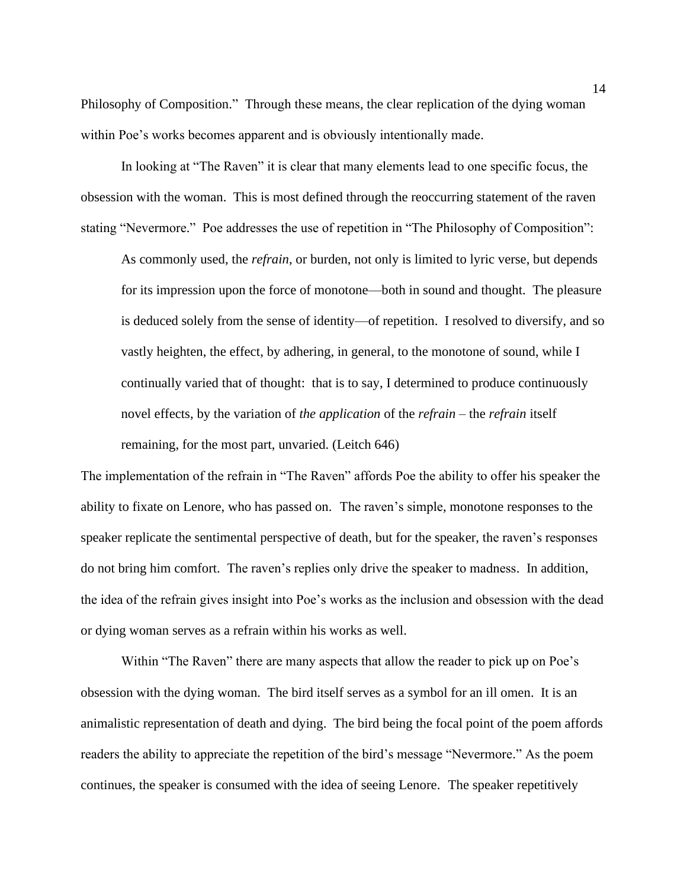Philosophy of Composition." Through these means, the clear replication of the dying woman within Poe's works becomes apparent and is obviously intentionally made.

In looking at "The Raven" it is clear that many elements lead to one specific focus, the obsession with the woman. This is most defined through the reoccurring statement of the raven stating "Nevermore." Poe addresses the use of repetition in "The Philosophy of Composition":

As commonly used, the *refrain*, or burden, not only is limited to lyric verse, but depends for its impression upon the force of monotone—both in sound and thought. The pleasure is deduced solely from the sense of identity—of repetition. I resolved to diversify, and so vastly heighten, the effect, by adhering, in general, to the monotone of sound, while I continually varied that of thought: that is to say, I determined to produce continuously novel effects, by the variation of *the application* of the *refrain* – the *refrain* itself remaining, for the most part, unvaried. (Leitch 646)

The implementation of the refrain in "The Raven" affords Poe the ability to offer his speaker the ability to fixate on Lenore, who has passed on. The raven's simple, monotone responses to the speaker replicate the sentimental perspective of death, but for the speaker, the raven's responses do not bring him comfort. The raven's replies only drive the speaker to madness. In addition, the idea of the refrain gives insight into Poe's works as the inclusion and obsession with the dead or dying woman serves as a refrain within his works as well.

Within "The Raven" there are many aspects that allow the reader to pick up on Poe's obsession with the dying woman. The bird itself serves as a symbol for an ill omen. It is an animalistic representation of death and dying. The bird being the focal point of the poem affords readers the ability to appreciate the repetition of the bird's message "Nevermore." As the poem continues, the speaker is consumed with the idea of seeing Lenore. The speaker repetitively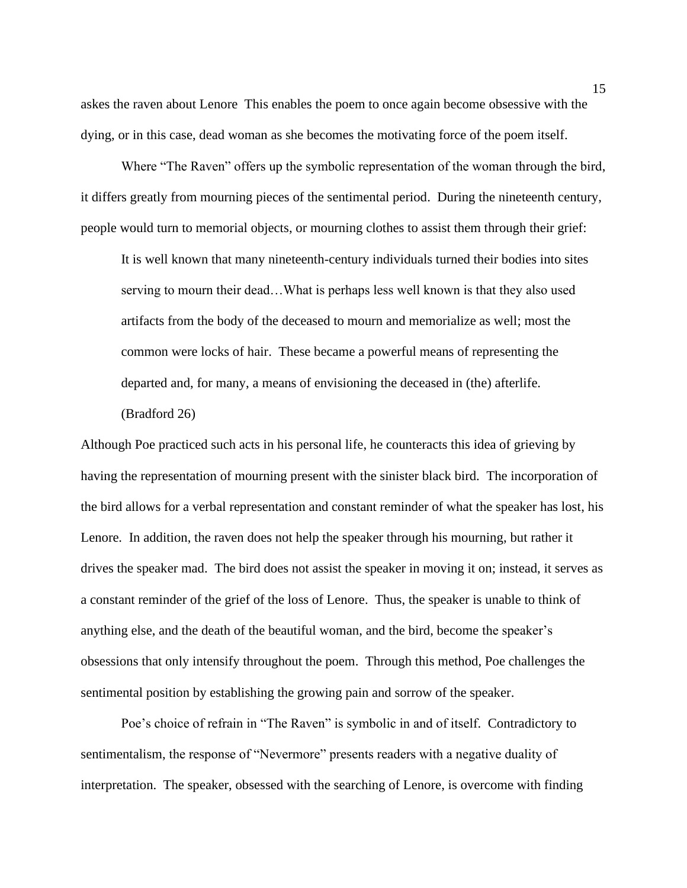askes the raven about Lenore This enables the poem to once again become obsessive with the dying, or in this case, dead woman as she becomes the motivating force of the poem itself.

Where "The Raven" offers up the symbolic representation of the woman through the bird, it differs greatly from mourning pieces of the sentimental period. During the nineteenth century, people would turn to memorial objects, or mourning clothes to assist them through their grief:

It is well known that many nineteenth-century individuals turned their bodies into sites serving to mourn their dead…What is perhaps less well known is that they also used artifacts from the body of the deceased to mourn and memorialize as well; most the common were locks of hair. These became a powerful means of representing the departed and, for many, a means of envisioning the deceased in (the) afterlife.

(Bradford 26)

Although Poe practiced such acts in his personal life, he counteracts this idea of grieving by having the representation of mourning present with the sinister black bird. The incorporation of the bird allows for a verbal representation and constant reminder of what the speaker has lost, his Lenore. In addition, the raven does not help the speaker through his mourning, but rather it drives the speaker mad. The bird does not assist the speaker in moving it on; instead, it serves as a constant reminder of the grief of the loss of Lenore. Thus, the speaker is unable to think of anything else, and the death of the beautiful woman, and the bird, become the speaker's obsessions that only intensify throughout the poem. Through this method, Poe challenges the sentimental position by establishing the growing pain and sorrow of the speaker.

Poe's choice of refrain in "The Raven" is symbolic in and of itself. Contradictory to sentimentalism, the response of "Nevermore" presents readers with a negative duality of interpretation. The speaker, obsessed with the searching of Lenore, is overcome with finding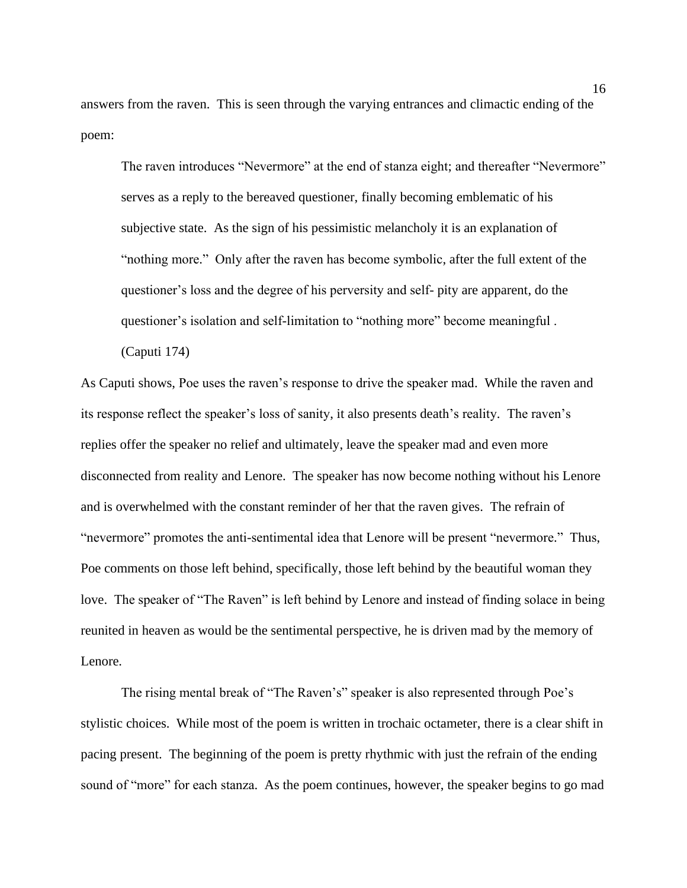answers from the raven. This is seen through the varying entrances and climactic ending of the poem:

The raven introduces "Nevermore" at the end of stanza eight; and thereafter "Nevermore" serves as a reply to the bereaved questioner, finally becoming emblematic of his subjective state. As the sign of his pessimistic melancholy it is an explanation of "nothing more." Only after the raven has become symbolic, after the full extent of the questioner's loss and the degree of his perversity and self- pity are apparent, do the questioner's isolation and self-limitation to "nothing more" become meaningful .

(Caputi 174)

As Caputi shows, Poe uses the raven's response to drive the speaker mad. While the raven and its response reflect the speaker's loss of sanity, it also presents death's reality. The raven's replies offer the speaker no relief and ultimately, leave the speaker mad and even more disconnected from reality and Lenore. The speaker has now become nothing without his Lenore and is overwhelmed with the constant reminder of her that the raven gives. The refrain of "nevermore" promotes the anti-sentimental idea that Lenore will be present "nevermore." Thus, Poe comments on those left behind, specifically, those left behind by the beautiful woman they love. The speaker of "The Raven" is left behind by Lenore and instead of finding solace in being reunited in heaven as would be the sentimental perspective, he is driven mad by the memory of Lenore.

The rising mental break of "The Raven's" speaker is also represented through Poe's stylistic choices. While most of the poem is written in trochaic octameter, there is a clear shift in pacing present. The beginning of the poem is pretty rhythmic with just the refrain of the ending sound of "more" for each stanza. As the poem continues, however, the speaker begins to go mad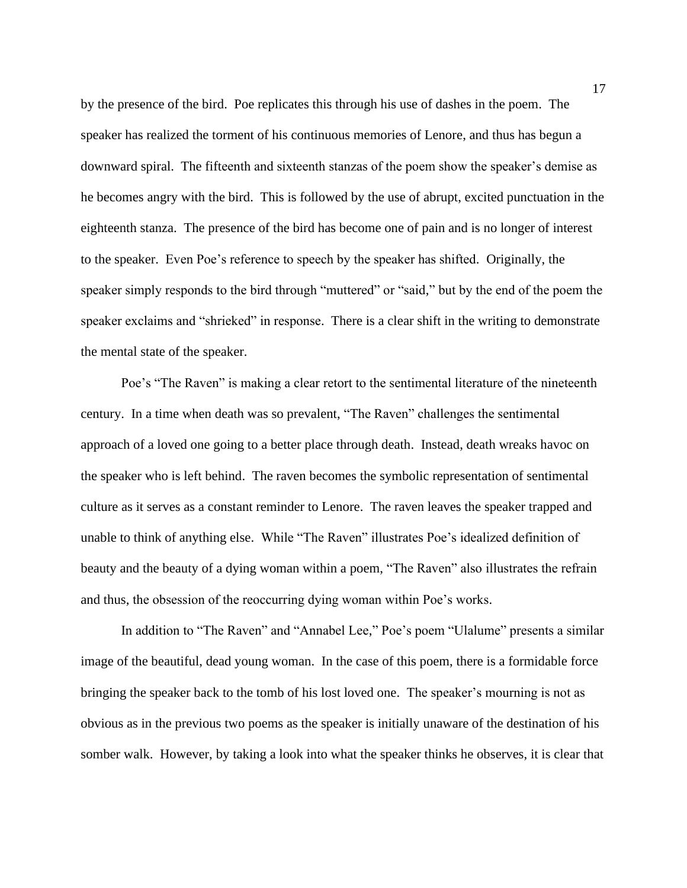by the presence of the bird. Poe replicates this through his use of dashes in the poem. The speaker has realized the torment of his continuous memories of Lenore, and thus has begun a downward spiral. The fifteenth and sixteenth stanzas of the poem show the speaker's demise as he becomes angry with the bird. This is followed by the use of abrupt, excited punctuation in the eighteenth stanza. The presence of the bird has become one of pain and is no longer of interest to the speaker. Even Poe's reference to speech by the speaker has shifted. Originally, the speaker simply responds to the bird through "muttered" or "said," but by the end of the poem the speaker exclaims and "shrieked" in response. There is a clear shift in the writing to demonstrate the mental state of the speaker.

Poe's "The Raven" is making a clear retort to the sentimental literature of the nineteenth century. In a time when death was so prevalent, "The Raven" challenges the sentimental approach of a loved one going to a better place through death. Instead, death wreaks havoc on the speaker who is left behind. The raven becomes the symbolic representation of sentimental culture as it serves as a constant reminder to Lenore. The raven leaves the speaker trapped and unable to think of anything else. While "The Raven" illustrates Poe's idealized definition of beauty and the beauty of a dying woman within a poem, "The Raven" also illustrates the refrain and thus, the obsession of the reoccurring dying woman within Poe's works.

In addition to "The Raven" and "Annabel Lee," Poe's poem "Ulalume" presents a similar image of the beautiful, dead young woman. In the case of this poem, there is a formidable force bringing the speaker back to the tomb of his lost loved one. The speaker's mourning is not as obvious as in the previous two poems as the speaker is initially unaware of the destination of his somber walk. However, by taking a look into what the speaker thinks he observes, it is clear that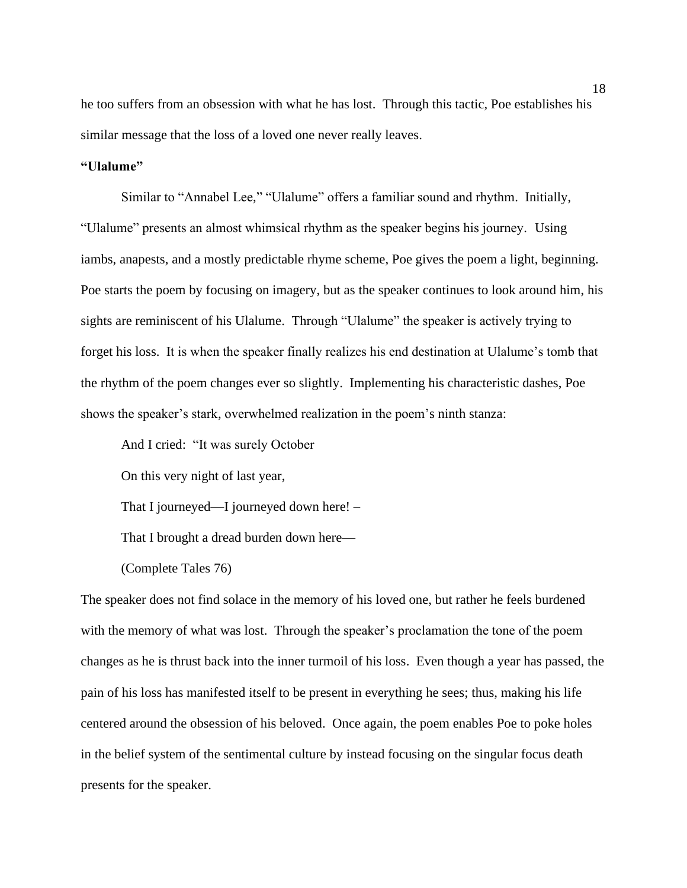he too suffers from an obsession with what he has lost. Through this tactic, Poe establishes his similar message that the loss of a loved one never really leaves.

#### **"Ulalume"**

Similar to "Annabel Lee," "Ulalume" offers a familiar sound and rhythm. Initially, "Ulalume" presents an almost whimsical rhythm as the speaker begins his journey. Using iambs, anapests, and a mostly predictable rhyme scheme, Poe gives the poem a light, beginning. Poe starts the poem by focusing on imagery, but as the speaker continues to look around him, his sights are reminiscent of his Ulalume. Through "Ulalume" the speaker is actively trying to forget his loss. It is when the speaker finally realizes his end destination at Ulalume's tomb that the rhythm of the poem changes ever so slightly. Implementing his characteristic dashes, Poe shows the speaker's stark, overwhelmed realization in the poem's ninth stanza:

And I cried: "It was surely October

On this very night of last year,

That I journeyed—I journeyed down here! –

That I brought a dread burden down here—

(Complete Tales 76)

The speaker does not find solace in the memory of his loved one, but rather he feels burdened with the memory of what was lost. Through the speaker's proclamation the tone of the poem changes as he is thrust back into the inner turmoil of his loss. Even though a year has passed, the pain of his loss has manifested itself to be present in everything he sees; thus, making his life centered around the obsession of his beloved. Once again, the poem enables Poe to poke holes in the belief system of the sentimental culture by instead focusing on the singular focus death presents for the speaker.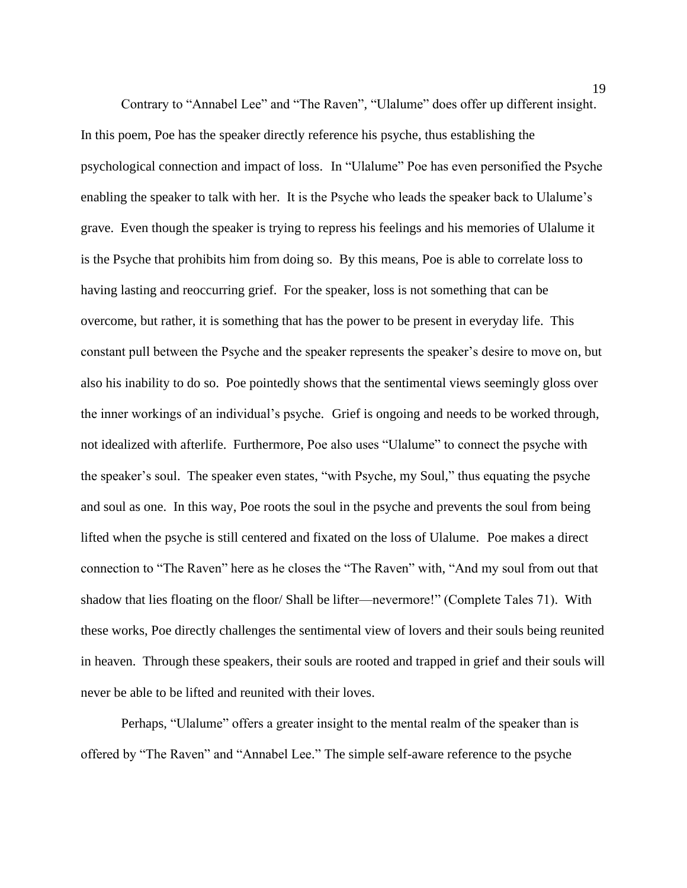Contrary to "Annabel Lee" and "The Raven", "Ulalume" does offer up different insight. In this poem, Poe has the speaker directly reference his psyche, thus establishing the psychological connection and impact of loss. In "Ulalume" Poe has even personified the Psyche enabling the speaker to talk with her. It is the Psyche who leads the speaker back to Ulalume's grave. Even though the speaker is trying to repress his feelings and his memories of Ulalume it is the Psyche that prohibits him from doing so. By this means, Poe is able to correlate loss to having lasting and reoccurring grief. For the speaker, loss is not something that can be overcome, but rather, it is something that has the power to be present in everyday life. This constant pull between the Psyche and the speaker represents the speaker's desire to move on, but also his inability to do so. Poe pointedly shows that the sentimental views seemingly gloss over the inner workings of an individual's psyche. Grief is ongoing and needs to be worked through, not idealized with afterlife. Furthermore, Poe also uses "Ulalume" to connect the psyche with the speaker's soul. The speaker even states, "with Psyche, my Soul," thus equating the psyche and soul as one. In this way, Poe roots the soul in the psyche and prevents the soul from being lifted when the psyche is still centered and fixated on the loss of Ulalume. Poe makes a direct connection to "The Raven" here as he closes the "The Raven" with, "And my soul from out that shadow that lies floating on the floor/ Shall be lifter—nevermore!" (Complete Tales 71). With these works, Poe directly challenges the sentimental view of lovers and their souls being reunited in heaven. Through these speakers, their souls are rooted and trapped in grief and their souls will never be able to be lifted and reunited with their loves.

Perhaps, "Ulalume" offers a greater insight to the mental realm of the speaker than is offered by "The Raven" and "Annabel Lee." The simple self-aware reference to the psyche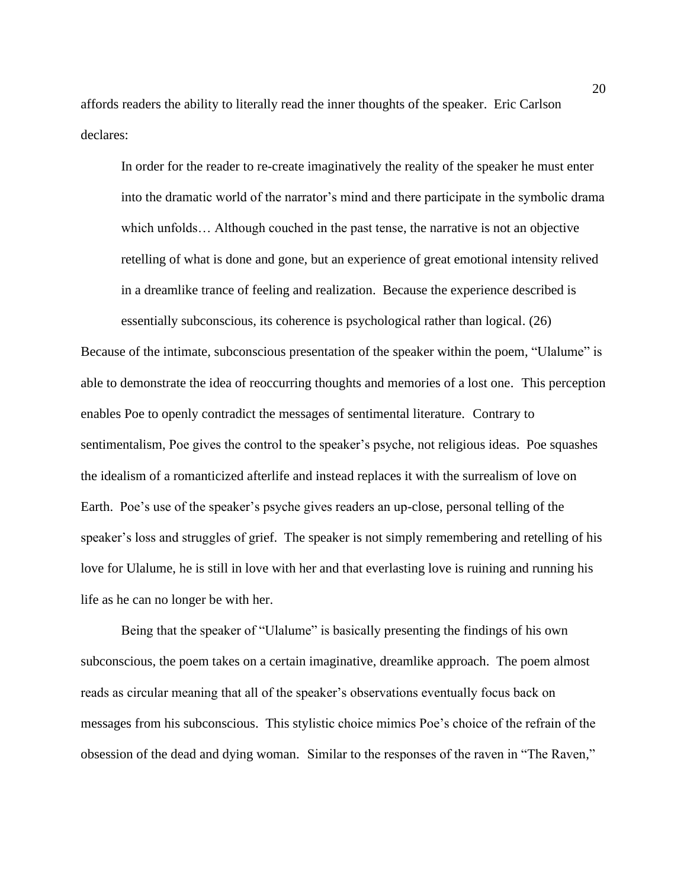affords readers the ability to literally read the inner thoughts of the speaker. Eric Carlson declares:

In order for the reader to re-create imaginatively the reality of the speaker he must enter into the dramatic world of the narrator's mind and there participate in the symbolic drama which unfolds... Although couched in the past tense, the narrative is not an objective retelling of what is done and gone, but an experience of great emotional intensity relived in a dreamlike trance of feeling and realization. Because the experience described is essentially subconscious, its coherence is psychological rather than logical. (26)

Because of the intimate, subconscious presentation of the speaker within the poem, "Ulalume" is able to demonstrate the idea of reoccurring thoughts and memories of a lost one. This perception enables Poe to openly contradict the messages of sentimental literature. Contrary to sentimentalism, Poe gives the control to the speaker's psyche, not religious ideas. Poe squashes the idealism of a romanticized afterlife and instead replaces it with the surrealism of love on Earth. Poe's use of the speaker's psyche gives readers an up-close, personal telling of the speaker's loss and struggles of grief. The speaker is not simply remembering and retelling of his love for Ulalume, he is still in love with her and that everlasting love is ruining and running his life as he can no longer be with her.

Being that the speaker of "Ulalume" is basically presenting the findings of his own subconscious, the poem takes on a certain imaginative, dreamlike approach. The poem almost reads as circular meaning that all of the speaker's observations eventually focus back on messages from his subconscious. This stylistic choice mimics Poe's choice of the refrain of the obsession of the dead and dying woman. Similar to the responses of the raven in "The Raven,"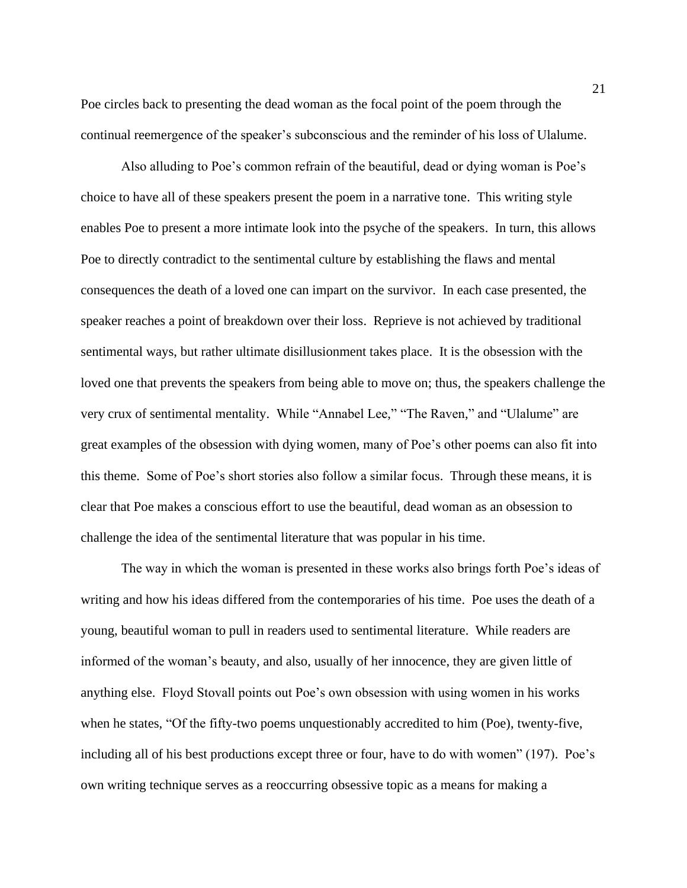Poe circles back to presenting the dead woman as the focal point of the poem through the continual reemergence of the speaker's subconscious and the reminder of his loss of Ulalume.

Also alluding to Poe's common refrain of the beautiful, dead or dying woman is Poe's choice to have all of these speakers present the poem in a narrative tone. This writing style enables Poe to present a more intimate look into the psyche of the speakers. In turn, this allows Poe to directly contradict to the sentimental culture by establishing the flaws and mental consequences the death of a loved one can impart on the survivor. In each case presented, the speaker reaches a point of breakdown over their loss. Reprieve is not achieved by traditional sentimental ways, but rather ultimate disillusionment takes place. It is the obsession with the loved one that prevents the speakers from being able to move on; thus, the speakers challenge the very crux of sentimental mentality. While "Annabel Lee," "The Raven," and "Ulalume" are great examples of the obsession with dying women, many of Poe's other poems can also fit into this theme. Some of Poe's short stories also follow a similar focus. Through these means, it is clear that Poe makes a conscious effort to use the beautiful, dead woman as an obsession to challenge the idea of the sentimental literature that was popular in his time.

The way in which the woman is presented in these works also brings forth Poe's ideas of writing and how his ideas differed from the contemporaries of his time. Poe uses the death of a young, beautiful woman to pull in readers used to sentimental literature. While readers are informed of the woman's beauty, and also, usually of her innocence, they are given little of anything else. Floyd Stovall points out Poe's own obsession with using women in his works when he states, "Of the fifty-two poems unquestionably accredited to him (Poe), twenty-five, including all of his best productions except three or four, have to do with women" (197). Poe's own writing technique serves as a reoccurring obsessive topic as a means for making a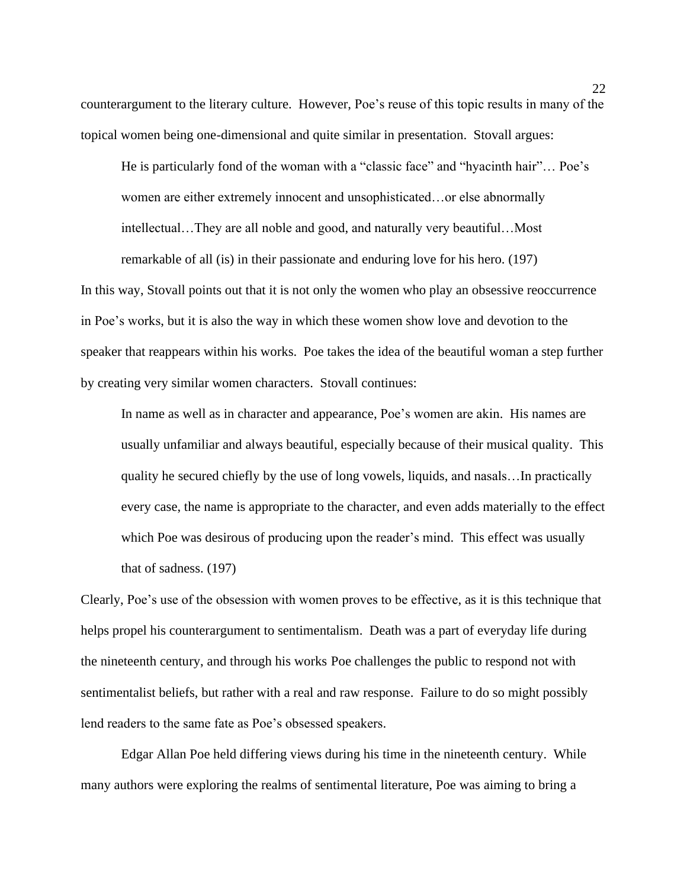counterargument to the literary culture. However, Poe's reuse of this topic results in many of the topical women being one-dimensional and quite similar in presentation. Stovall argues:

He is particularly fond of the woman with a "classic face" and "hyacinth hair"... Poe's women are either extremely innocent and unsophisticated…or else abnormally intellectual…They are all noble and good, and naturally very beautiful…Most remarkable of all (is) in their passionate and enduring love for his hero. (197)

In this way, Stovall points out that it is not only the women who play an obsessive reoccurrence in Poe's works, but it is also the way in which these women show love and devotion to the speaker that reappears within his works. Poe takes the idea of the beautiful woman a step further by creating very similar women characters. Stovall continues:

In name as well as in character and appearance, Poe's women are akin. His names are usually unfamiliar and always beautiful, especially because of their musical quality. This quality he secured chiefly by the use of long vowels, liquids, and nasals…In practically every case, the name is appropriate to the character, and even adds materially to the effect which Poe was desirous of producing upon the reader's mind. This effect was usually that of sadness. (197)

Clearly, Poe's use of the obsession with women proves to be effective, as it is this technique that helps propel his counterargument to sentimentalism. Death was a part of everyday life during the nineteenth century, and through his works Poe challenges the public to respond not with sentimentalist beliefs, but rather with a real and raw response. Failure to do so might possibly lend readers to the same fate as Poe's obsessed speakers.

Edgar Allan Poe held differing views during his time in the nineteenth century. While many authors were exploring the realms of sentimental literature, Poe was aiming to bring a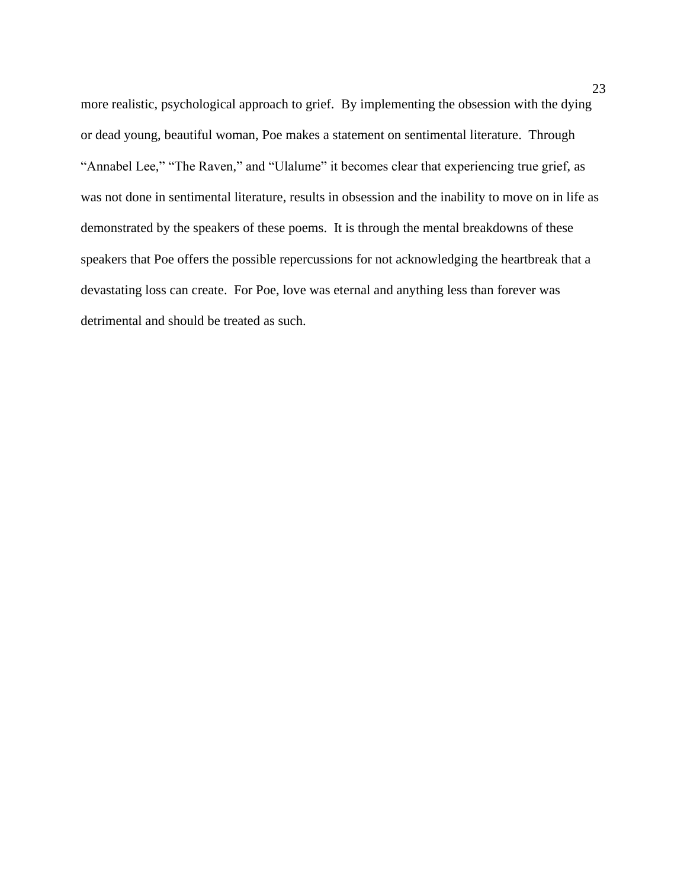more realistic, psychological approach to grief. By implementing the obsession with the dying or dead young, beautiful woman, Poe makes a statement on sentimental literature. Through "Annabel Lee," "The Raven," and "Ulalume" it becomes clear that experiencing true grief, as was not done in sentimental literature, results in obsession and the inability to move on in life as demonstrated by the speakers of these poems. It is through the mental breakdowns of these speakers that Poe offers the possible repercussions for not acknowledging the heartbreak that a devastating loss can create. For Poe, love was eternal and anything less than forever was detrimental and should be treated as such.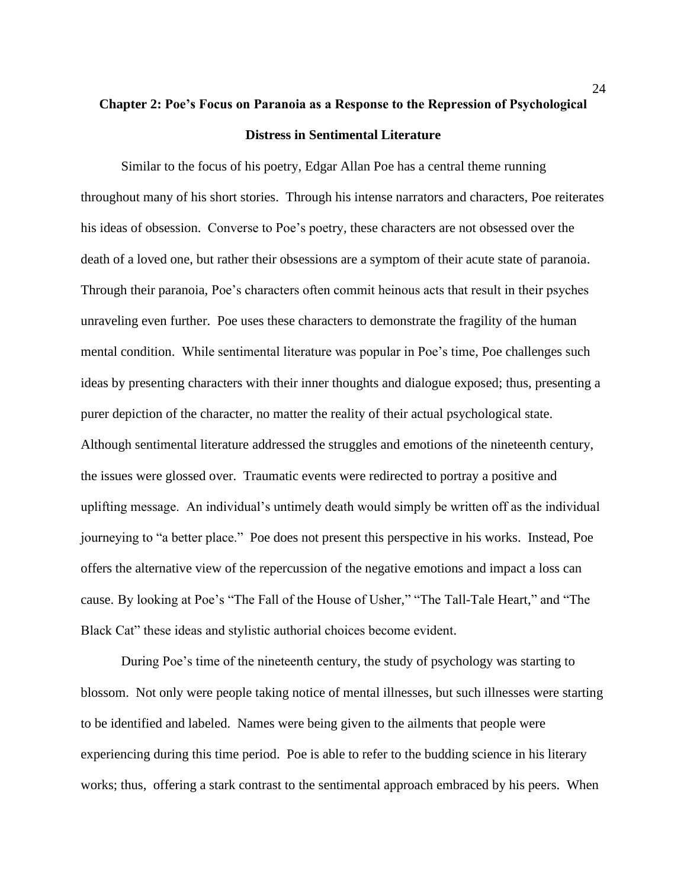# **Chapter 2: Poe's Focus on Paranoia as a Response to the Repression of Psychological Distress in Sentimental Literature**

Similar to the focus of his poetry, Edgar Allan Poe has a central theme running throughout many of his short stories. Through his intense narrators and characters, Poe reiterates his ideas of obsession. Converse to Poe's poetry, these characters are not obsessed over the death of a loved one, but rather their obsessions are a symptom of their acute state of paranoia. Through their paranoia, Poe's characters often commit heinous acts that result in their psyches unraveling even further. Poe uses these characters to demonstrate the fragility of the human mental condition. While sentimental literature was popular in Poe's time, Poe challenges such ideas by presenting characters with their inner thoughts and dialogue exposed; thus, presenting a purer depiction of the character, no matter the reality of their actual psychological state. Although sentimental literature addressed the struggles and emotions of the nineteenth century, the issues were glossed over. Traumatic events were redirected to portray a positive and uplifting message. An individual's untimely death would simply be written off as the individual journeying to "a better place." Poe does not present this perspective in his works. Instead, Poe offers the alternative view of the repercussion of the negative emotions and impact a loss can cause. By looking at Poe's "The Fall of the House of Usher," "The Tall-Tale Heart," and "The Black Cat" these ideas and stylistic authorial choices become evident.

During Poe's time of the nineteenth century, the study of psychology was starting to blossom. Not only were people taking notice of mental illnesses, but such illnesses were starting to be identified and labeled. Names were being given to the ailments that people were experiencing during this time period. Poe is able to refer to the budding science in his literary works; thus, offering a stark contrast to the sentimental approach embraced by his peers. When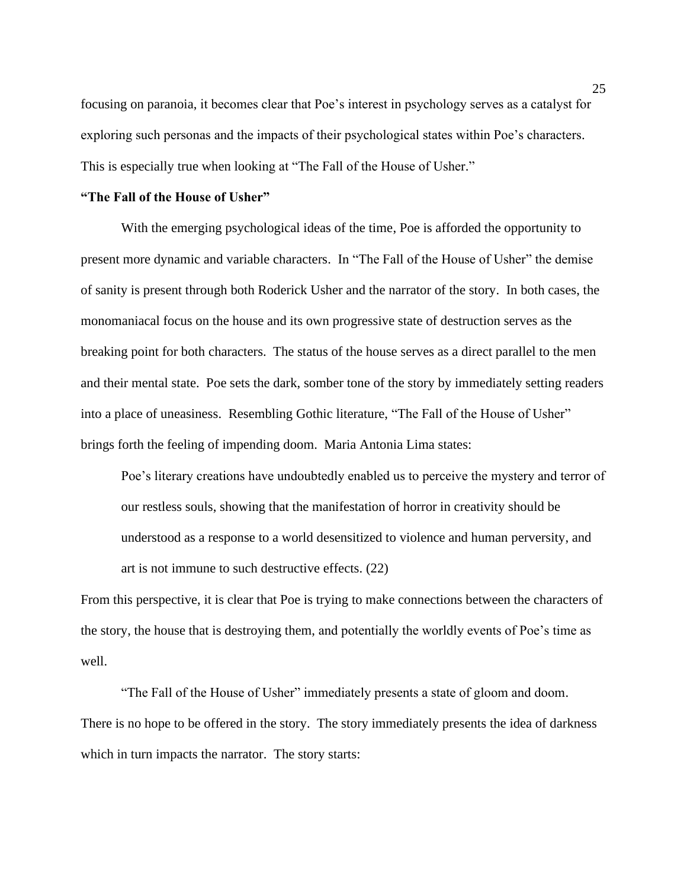focusing on paranoia, it becomes clear that Poe's interest in psychology serves as a catalyst for exploring such personas and the impacts of their psychological states within Poe's characters. This is especially true when looking at "The Fall of the House of Usher."

### **"The Fall of the House of Usher"**

With the emerging psychological ideas of the time, Poe is afforded the opportunity to present more dynamic and variable characters. In "The Fall of the House of Usher" the demise of sanity is present through both Roderick Usher and the narrator of the story. In both cases, the monomaniacal focus on the house and its own progressive state of destruction serves as the breaking point for both characters. The status of the house serves as a direct parallel to the men and their mental state. Poe sets the dark, somber tone of the story by immediately setting readers into a place of uneasiness. Resembling Gothic literature, "The Fall of the House of Usher" brings forth the feeling of impending doom. Maria Antonia Lima states:

Poe's literary creations have undoubtedly enabled us to perceive the mystery and terror of our restless souls, showing that the manifestation of horror in creativity should be understood as a response to a world desensitized to violence and human perversity, and art is not immune to such destructive effects. (22)

From this perspective, it is clear that Poe is trying to make connections between the characters of the story, the house that is destroying them, and potentially the worldly events of Poe's time as well.

"The Fall of the House of Usher" immediately presents a state of gloom and doom. There is no hope to be offered in the story. The story immediately presents the idea of darkness which in turn impacts the narrator. The story starts: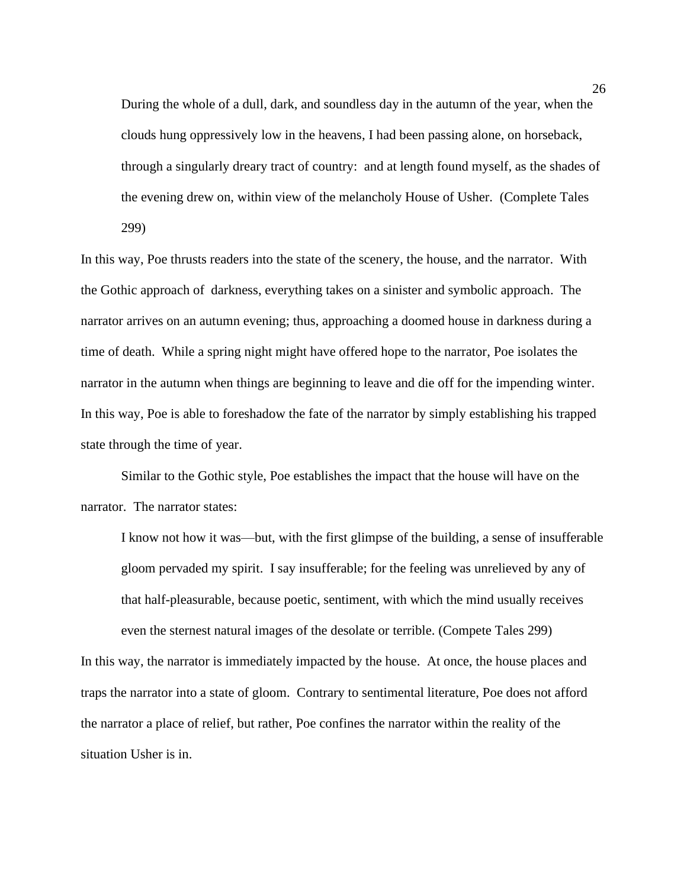During the whole of a dull, dark, and soundless day in the autumn of the year, when the clouds hung oppressively low in the heavens, I had been passing alone, on horseback, through a singularly dreary tract of country: and at length found myself, as the shades of the evening drew on, within view of the melancholy House of Usher. (Complete Tales 299)

In this way, Poe thrusts readers into the state of the scenery, the house, and the narrator. With the Gothic approach of darkness, everything takes on a sinister and symbolic approach. The narrator arrives on an autumn evening; thus, approaching a doomed house in darkness during a time of death. While a spring night might have offered hope to the narrator, Poe isolates the narrator in the autumn when things are beginning to leave and die off for the impending winter. In this way, Poe is able to foreshadow the fate of the narrator by simply establishing his trapped state through the time of year.

Similar to the Gothic style, Poe establishes the impact that the house will have on the narrator. The narrator states:

I know not how it was—but, with the first glimpse of the building, a sense of insufferable gloom pervaded my spirit. I say insufferable; for the feeling was unrelieved by any of that half-pleasurable, because poetic, sentiment, with which the mind usually receives even the sternest natural images of the desolate or terrible. (Compete Tales 299)

In this way, the narrator is immediately impacted by the house. At once, the house places and traps the narrator into a state of gloom. Contrary to sentimental literature, Poe does not afford the narrator a place of relief, but rather, Poe confines the narrator within the reality of the situation Usher is in.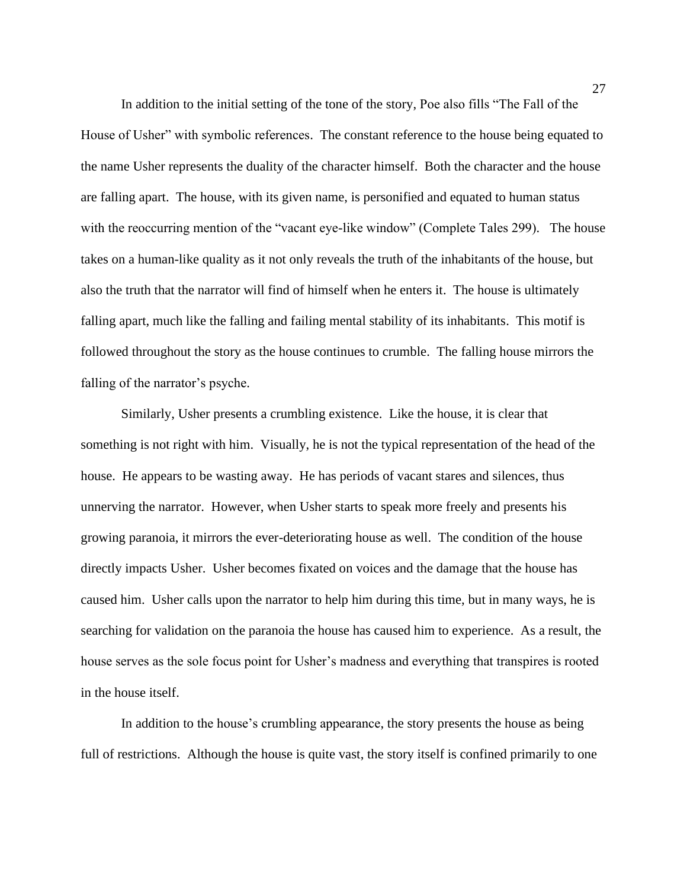In addition to the initial setting of the tone of the story, Poe also fills "The Fall of the House of Usher" with symbolic references. The constant reference to the house being equated to the name Usher represents the duality of the character himself. Both the character and the house are falling apart. The house, with its given name, is personified and equated to human status with the reoccurring mention of the "vacant eye-like window" (Complete Tales 299). The house takes on a human-like quality as it not only reveals the truth of the inhabitants of the house, but also the truth that the narrator will find of himself when he enters it. The house is ultimately falling apart, much like the falling and failing mental stability of its inhabitants. This motif is followed throughout the story as the house continues to crumble. The falling house mirrors the falling of the narrator's psyche.

Similarly, Usher presents a crumbling existence. Like the house, it is clear that something is not right with him. Visually, he is not the typical representation of the head of the house. He appears to be wasting away. He has periods of vacant stares and silences, thus unnerving the narrator. However, when Usher starts to speak more freely and presents his growing paranoia, it mirrors the ever-deteriorating house as well. The condition of the house directly impacts Usher. Usher becomes fixated on voices and the damage that the house has caused him. Usher calls upon the narrator to help him during this time, but in many ways, he is searching for validation on the paranoia the house has caused him to experience. As a result, the house serves as the sole focus point for Usher's madness and everything that transpires is rooted in the house itself.

In addition to the house's crumbling appearance, the story presents the house as being full of restrictions. Although the house is quite vast, the story itself is confined primarily to one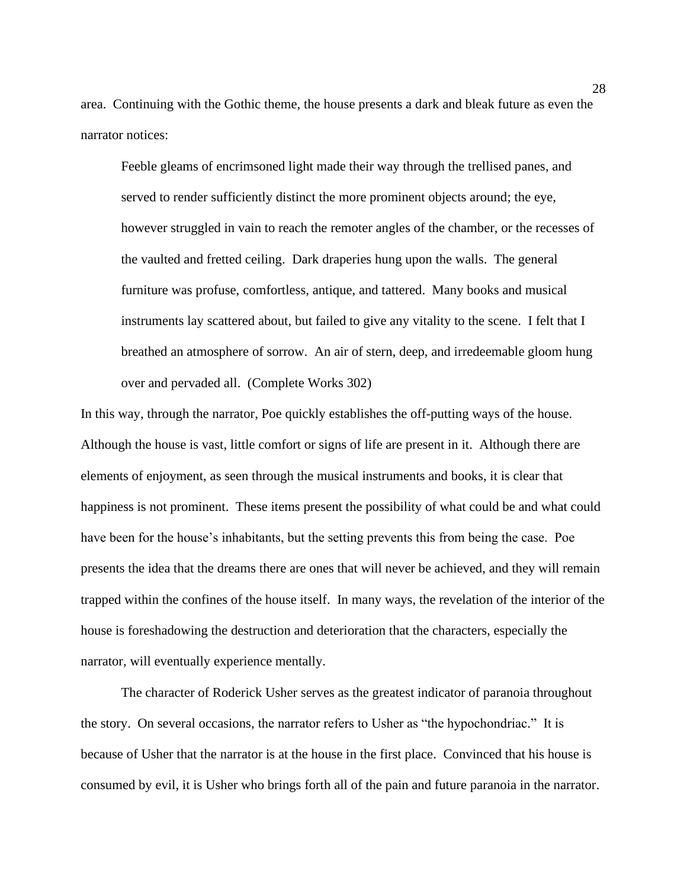area. Continuing with the Gothic theme, the house presents a dark and bleak future as even the narrator notices:

Feeble gleams of encrimsoned light made their way through the trellised panes, and served to render sufficiently distinct the more prominent objects around; the eye, however struggled in vain to reach the remoter angles of the chamber, or the recesses of the vaulted and fretted ceiling. Dark draperies hung upon the walls. The general furniture was profuse, comfortless, antique, and tattered. Many books and musical instruments lay scattered about, but failed to give any vitality to the scene. I felt that I breathed an atmosphere of sorrow. An air of stern, deep, and irredeemable gloom hung over and pervaded all. (Complete Works 302)

In this way, through the narrator, Poe quickly establishes the off-putting ways of the house. Although the house is vast, little comfort or signs of life are present in it. Although there are elements of enjoyment, as seen through the musical instruments and books, it is clear that happiness is not prominent. These items present the possibility of what could be and what could have been for the house's inhabitants, but the setting prevents this from being the case. Poe presents the idea that the dreams there are ones that will never be achieved, and they will remain trapped within the confines of the house itself. In many ways, the revelation of the interior of the house is foreshadowing the destruction and deterioration that the characters, especially the narrator, will eventually experience mentally.

The character of Roderick Usher serves as the greatest indicator of paranoia throughout the story. On several occasions, the narrator refers to Usher as "the hypochondriac." It is because of Usher that the narrator is at the house in the first place. Convinced that his house is consumed by evil, it is Usher who brings forth all of the pain and future paranoia in the narrator.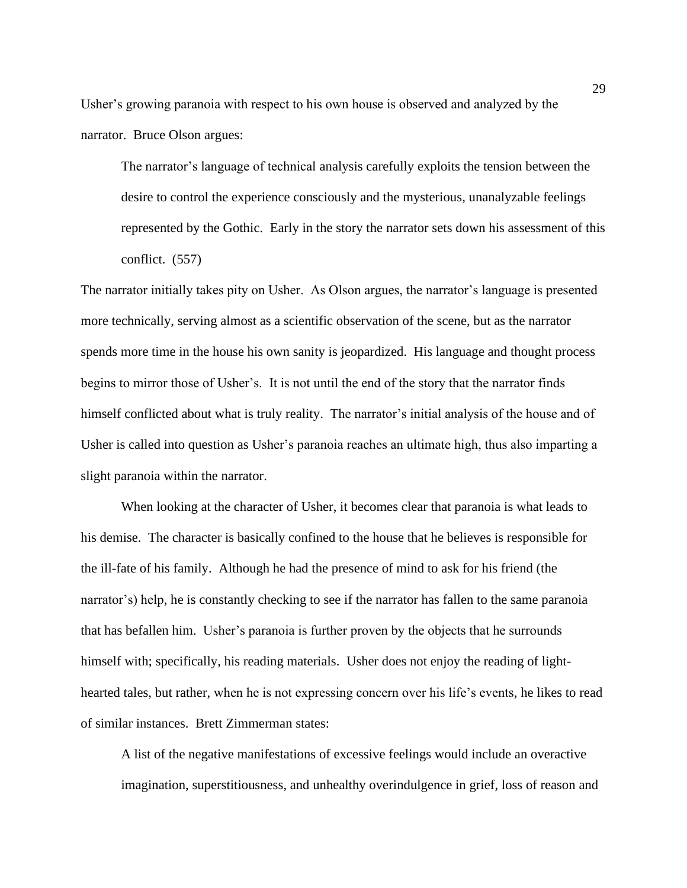Usher's growing paranoia with respect to his own house is observed and analyzed by the narrator. Bruce Olson argues:

The narrator's language of technical analysis carefully exploits the tension between the desire to control the experience consciously and the mysterious, unanalyzable feelings represented by the Gothic. Early in the story the narrator sets down his assessment of this conflict. (557)

The narrator initially takes pity on Usher. As Olson argues, the narrator's language is presented more technically, serving almost as a scientific observation of the scene, but as the narrator spends more time in the house his own sanity is jeopardized. His language and thought process begins to mirror those of Usher's. It is not until the end of the story that the narrator finds himself conflicted about what is truly reality. The narrator's initial analysis of the house and of Usher is called into question as Usher's paranoia reaches an ultimate high, thus also imparting a slight paranoia within the narrator.

When looking at the character of Usher, it becomes clear that paranoia is what leads to his demise. The character is basically confined to the house that he believes is responsible for the ill-fate of his family. Although he had the presence of mind to ask for his friend (the narrator's) help, he is constantly checking to see if the narrator has fallen to the same paranoia that has befallen him. Usher's paranoia is further proven by the objects that he surrounds himself with; specifically, his reading materials. Usher does not enjoy the reading of lighthearted tales, but rather, when he is not expressing concern over his life's events, he likes to read of similar instances. Brett Zimmerman states:

A list of the negative manifestations of excessive feelings would include an overactive imagination, superstitiousness, and unhealthy overindulgence in grief, loss of reason and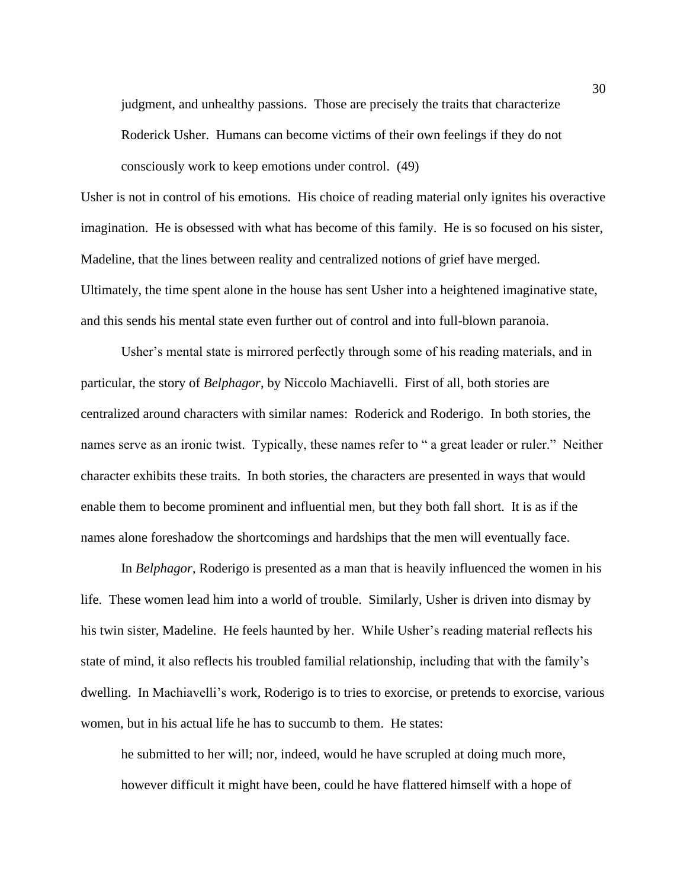judgment, and unhealthy passions. Those are precisely the traits that characterize Roderick Usher. Humans can become victims of their own feelings if they do not consciously work to keep emotions under control. (49)

Usher is not in control of his emotions. His choice of reading material only ignites his overactive imagination. He is obsessed with what has become of this family. He is so focused on his sister, Madeline, that the lines between reality and centralized notions of grief have merged. Ultimately, the time spent alone in the house has sent Usher into a heightened imaginative state, and this sends his mental state even further out of control and into full-blown paranoia.

Usher's mental state is mirrored perfectly through some of his reading materials, and in particular, the story of *Belphagor*, by Niccolo Machiavelli. First of all, both stories are centralized around characters with similar names: Roderick and Roderigo. In both stories, the names serve as an ironic twist. Typically, these names refer to " a great leader or ruler." Neither character exhibits these traits. In both stories, the characters are presented in ways that would enable them to become prominent and influential men, but they both fall short. It is as if the names alone foreshadow the shortcomings and hardships that the men will eventually face.

In *Belphagor*, Roderigo is presented as a man that is heavily influenced the women in his life. These women lead him into a world of trouble. Similarly, Usher is driven into dismay by his twin sister, Madeline. He feels haunted by her. While Usher's reading material reflects his state of mind, it also reflects his troubled familial relationship, including that with the family's dwelling. In Machiavelli's work, Roderigo is to tries to exorcise, or pretends to exorcise, various women, but in his actual life he has to succumb to them. He states:

he submitted to her will; nor, indeed, would he have scrupled at doing much more, however difficult it might have been, could he have flattered himself with a hope of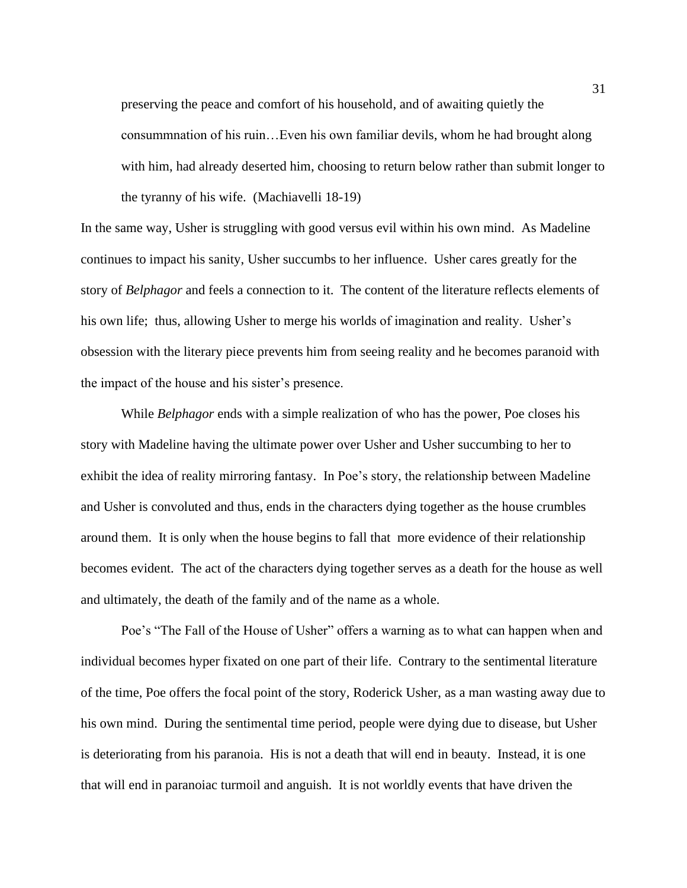preserving the peace and comfort of his household, and of awaiting quietly the consummnation of his ruin…Even his own familiar devils, whom he had brought along with him, had already deserted him, choosing to return below rather than submit longer to the tyranny of his wife. (Machiavelli 18-19)

In the same way, Usher is struggling with good versus evil within his own mind. As Madeline continues to impact his sanity, Usher succumbs to her influence. Usher cares greatly for the story of *Belphagor* and feels a connection to it. The content of the literature reflects elements of his own life; thus, allowing Usher to merge his worlds of imagination and reality. Usher's obsession with the literary piece prevents him from seeing reality and he becomes paranoid with the impact of the house and his sister's presence.

While *Belphagor* ends with a simple realization of who has the power, Poe closes his story with Madeline having the ultimate power over Usher and Usher succumbing to her to exhibit the idea of reality mirroring fantasy. In Poe's story, the relationship between Madeline and Usher is convoluted and thus, ends in the characters dying together as the house crumbles around them. It is only when the house begins to fall that more evidence of their relationship becomes evident. The act of the characters dying together serves as a death for the house as well and ultimately, the death of the family and of the name as a whole.

Poe's "The Fall of the House of Usher" offers a warning as to what can happen when and individual becomes hyper fixated on one part of their life. Contrary to the sentimental literature of the time, Poe offers the focal point of the story, Roderick Usher, as a man wasting away due to his own mind. During the sentimental time period, people were dying due to disease, but Usher is deteriorating from his paranoia. His is not a death that will end in beauty. Instead, it is one that will end in paranoiac turmoil and anguish. It is not worldly events that have driven the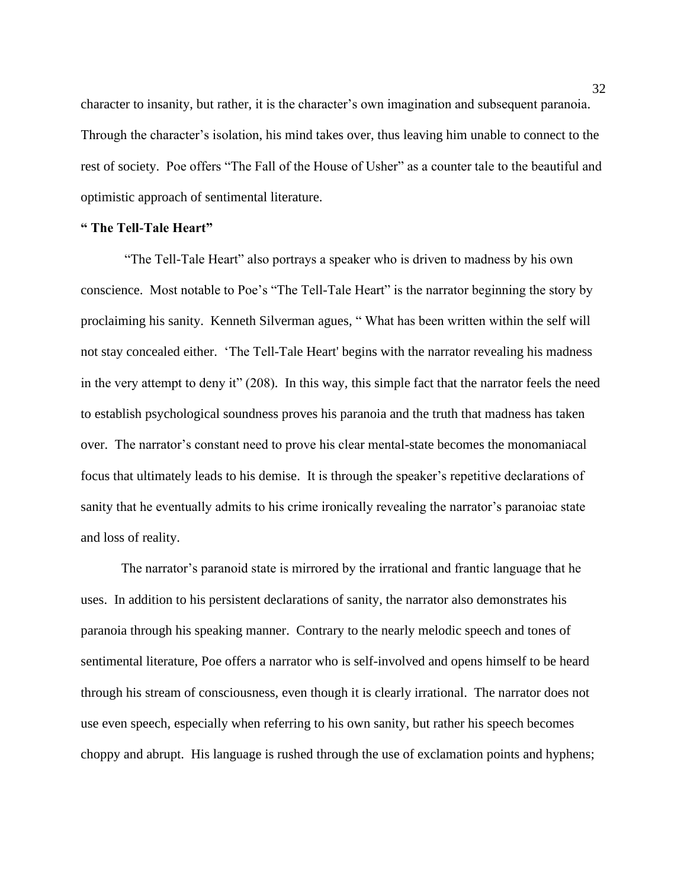character to insanity, but rather, it is the character's own imagination and subsequent paranoia. Through the character's isolation, his mind takes over, thus leaving him unable to connect to the rest of society. Poe offers "The Fall of the House of Usher" as a counter tale to the beautiful and optimistic approach of sentimental literature.

### **" The Tell-Tale Heart"**

"The Tell-Tale Heart" also portrays a speaker who is driven to madness by his own conscience. Most notable to Poe's "The Tell-Tale Heart" is the narrator beginning the story by proclaiming his sanity. Kenneth Silverman agues, " What has been written within the self will not stay concealed either. 'The Tell-Tale Heart' begins with the narrator revealing his madness in the very attempt to deny it" (208). In this way, this simple fact that the narrator feels the need to establish psychological soundness proves his paranoia and the truth that madness has taken over. The narrator's constant need to prove his clear mental-state becomes the monomaniacal focus that ultimately leads to his demise. It is through the speaker's repetitive declarations of sanity that he eventually admits to his crime ironically revealing the narrator's paranoiac state and loss of reality.

The narrator's paranoid state is mirrored by the irrational and frantic language that he uses. In addition to his persistent declarations of sanity, the narrator also demonstrates his paranoia through his speaking manner. Contrary to the nearly melodic speech and tones of sentimental literature, Poe offers a narrator who is self-involved and opens himself to be heard through his stream of consciousness, even though it is clearly irrational. The narrator does not use even speech, especially when referring to his own sanity, but rather his speech becomes choppy and abrupt. His language is rushed through the use of exclamation points and hyphens;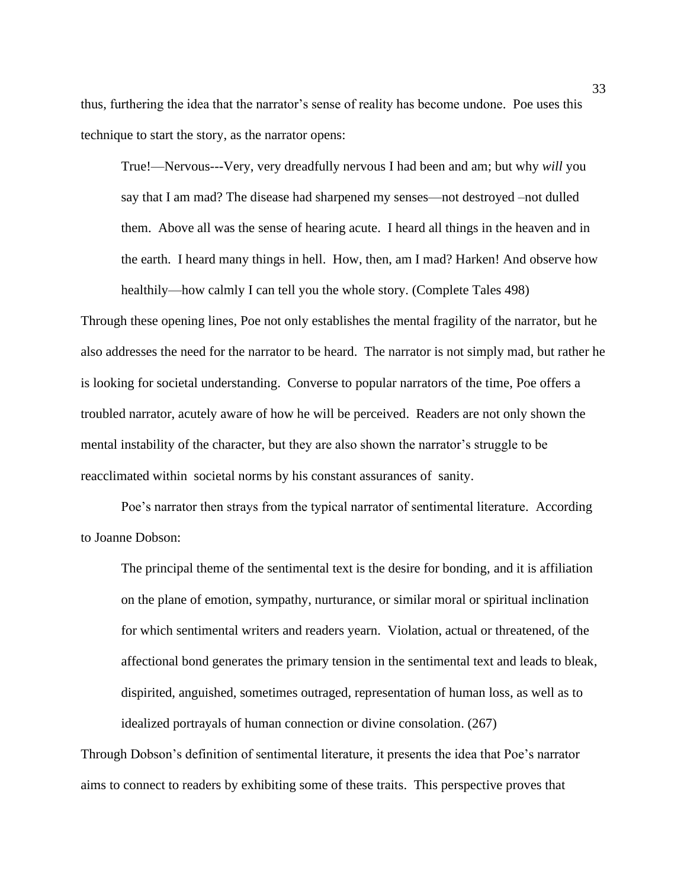thus, furthering the idea that the narrator's sense of reality has become undone. Poe uses this technique to start the story, as the narrator opens:

True!—Nervous---Very, very dreadfully nervous I had been and am; but why *will* you say that I am mad? The disease had sharpened my senses—not destroyed –not dulled them. Above all was the sense of hearing acute. I heard all things in the heaven and in the earth. I heard many things in hell. How, then, am I mad? Harken! And observe how healthily—how calmly I can tell you the whole story. (Complete Tales 498)

Through these opening lines, Poe not only establishes the mental fragility of the narrator, but he also addresses the need for the narrator to be heard. The narrator is not simply mad, but rather he is looking for societal understanding. Converse to popular narrators of the time, Poe offers a troubled narrator, acutely aware of how he will be perceived. Readers are not only shown the mental instability of the character, but they are also shown the narrator's struggle to be reacclimated within societal norms by his constant assurances of sanity.

Poe's narrator then strays from the typical narrator of sentimental literature. According to Joanne Dobson:

The principal theme of the sentimental text is the desire for bonding, and it is affiliation on the plane of emotion, sympathy, nurturance, or similar moral or spiritual inclination for which sentimental writers and readers yearn. Violation, actual or threatened, of the affectional bond generates the primary tension in the sentimental text and leads to bleak, dispirited, anguished, sometimes outraged, representation of human loss, as well as to idealized portrayals of human connection or divine consolation. (267)

Through Dobson's definition of sentimental literature, it presents the idea that Poe's narrator aims to connect to readers by exhibiting some of these traits. This perspective proves that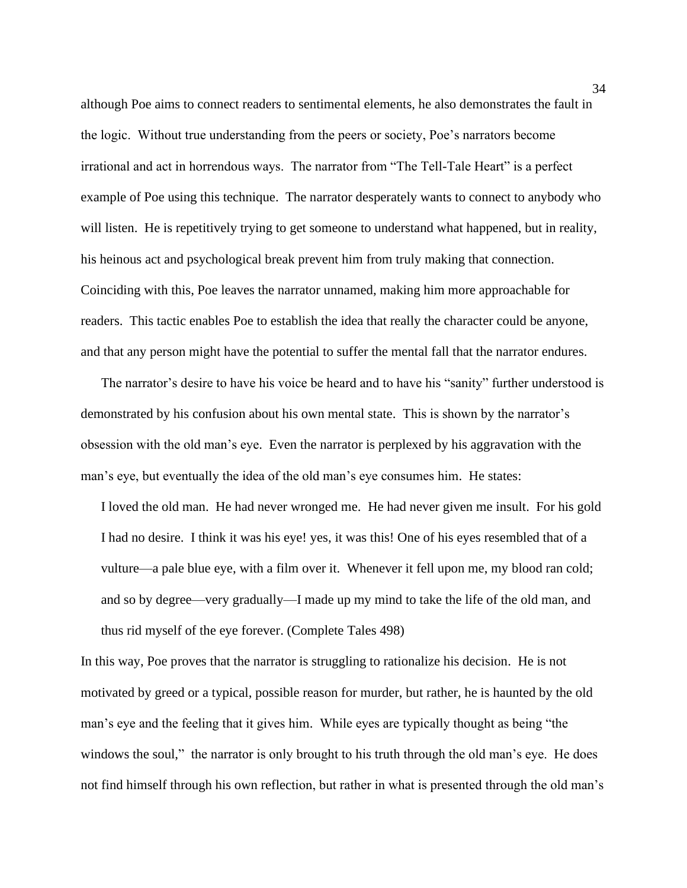although Poe aims to connect readers to sentimental elements, he also demonstrates the fault in the logic. Without true understanding from the peers or society, Poe's narrators become irrational and act in horrendous ways. The narrator from "The Tell-Tale Heart" is a perfect example of Poe using this technique. The narrator desperately wants to connect to anybody who will listen. He is repetitively trying to get someone to understand what happened, but in reality, his heinous act and psychological break prevent him from truly making that connection. Coinciding with this, Poe leaves the narrator unnamed, making him more approachable for readers. This tactic enables Poe to establish the idea that really the character could be anyone, and that any person might have the potential to suffer the mental fall that the narrator endures.

The narrator's desire to have his voice be heard and to have his "sanity" further understood is demonstrated by his confusion about his own mental state. This is shown by the narrator's obsession with the old man's eye. Even the narrator is perplexed by his aggravation with the man's eye, but eventually the idea of the old man's eye consumes him. He states:

I loved the old man. He had never wronged me. He had never given me insult. For his gold I had no desire. I think it was his eye! yes, it was this! One of his eyes resembled that of a vulture—a pale blue eye, with a film over it. Whenever it fell upon me, my blood ran cold; and so by degree—very gradually—I made up my mind to take the life of the old man, and thus rid myself of the eye forever. (Complete Tales 498)

In this way, Poe proves that the narrator is struggling to rationalize his decision. He is not motivated by greed or a typical, possible reason for murder, but rather, he is haunted by the old man's eye and the feeling that it gives him. While eyes are typically thought as being "the windows the soul," the narrator is only brought to his truth through the old man's eye. He does not find himself through his own reflection, but rather in what is presented through the old man's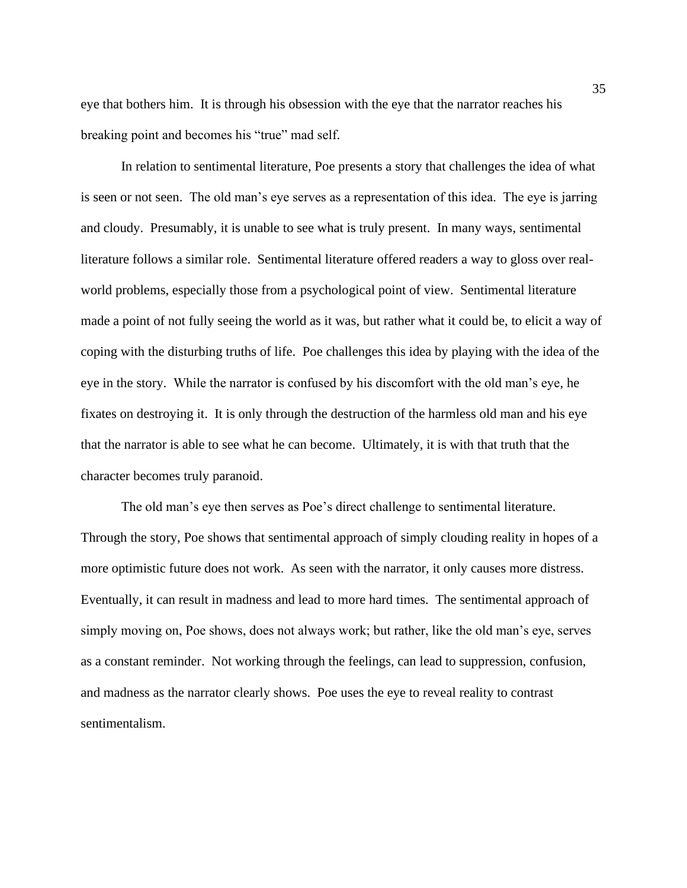eye that bothers him. It is through his obsession with the eye that the narrator reaches his breaking point and becomes his "true" mad self.

In relation to sentimental literature, Poe presents a story that challenges the idea of what is seen or not seen. The old man's eye serves as a representation of this idea. The eye is jarring and cloudy. Presumably, it is unable to see what is truly present. In many ways, sentimental literature follows a similar role. Sentimental literature offered readers a way to gloss over realworld problems, especially those from a psychological point of view. Sentimental literature made a point of not fully seeing the world as it was, but rather what it could be, to elicit a way of coping with the disturbing truths of life. Poe challenges this idea by playing with the idea of the eye in the story. While the narrator is confused by his discomfort with the old man's eye, he fixates on destroying it. It is only through the destruction of the harmless old man and his eye that the narrator is able to see what he can become. Ultimately, it is with that truth that the character becomes truly paranoid.

The old man's eye then serves as Poe's direct challenge to sentimental literature. Through the story, Poe shows that sentimental approach of simply clouding reality in hopes of a more optimistic future does not work. As seen with the narrator, it only causes more distress. Eventually, it can result in madness and lead to more hard times. The sentimental approach of simply moving on, Poe shows, does not always work; but rather, like the old man's eye, serves as a constant reminder. Not working through the feelings, can lead to suppression, confusion, and madness as the narrator clearly shows. Poe uses the eye to reveal reality to contrast sentimentalism.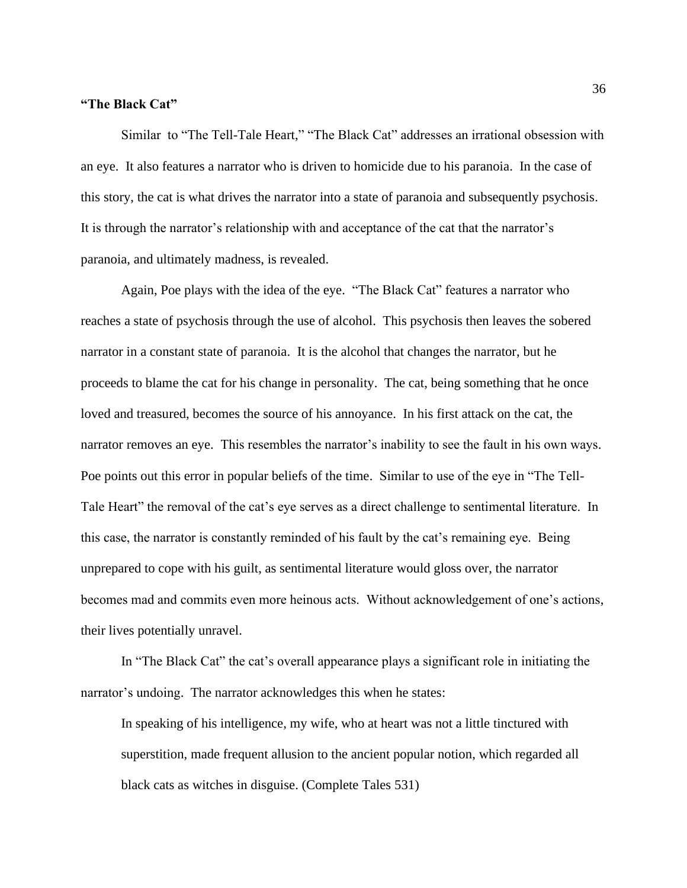#### **"The Black Cat"**

Similar to "The Tell-Tale Heart," "The Black Cat" addresses an irrational obsession with an eye. It also features a narrator who is driven to homicide due to his paranoia. In the case of this story, the cat is what drives the narrator into a state of paranoia and subsequently psychosis. It is through the narrator's relationship with and acceptance of the cat that the narrator's paranoia, and ultimately madness, is revealed.

Again, Poe plays with the idea of the eye. "The Black Cat" features a narrator who reaches a state of psychosis through the use of alcohol. This psychosis then leaves the sobered narrator in a constant state of paranoia. It is the alcohol that changes the narrator, but he proceeds to blame the cat for his change in personality. The cat, being something that he once loved and treasured, becomes the source of his annoyance. In his first attack on the cat, the narrator removes an eye. This resembles the narrator's inability to see the fault in his own ways. Poe points out this error in popular beliefs of the time. Similar to use of the eye in "The Tell-Tale Heart" the removal of the cat's eye serves as a direct challenge to sentimental literature. In this case, the narrator is constantly reminded of his fault by the cat's remaining eye. Being unprepared to cope with his guilt, as sentimental literature would gloss over, the narrator becomes mad and commits even more heinous acts. Without acknowledgement of one's actions, their lives potentially unravel.

In "The Black Cat" the cat's overall appearance plays a significant role in initiating the narrator's undoing. The narrator acknowledges this when he states:

In speaking of his intelligence, my wife, who at heart was not a little tinctured with superstition, made frequent allusion to the ancient popular notion, which regarded all black cats as witches in disguise. (Complete Tales 531)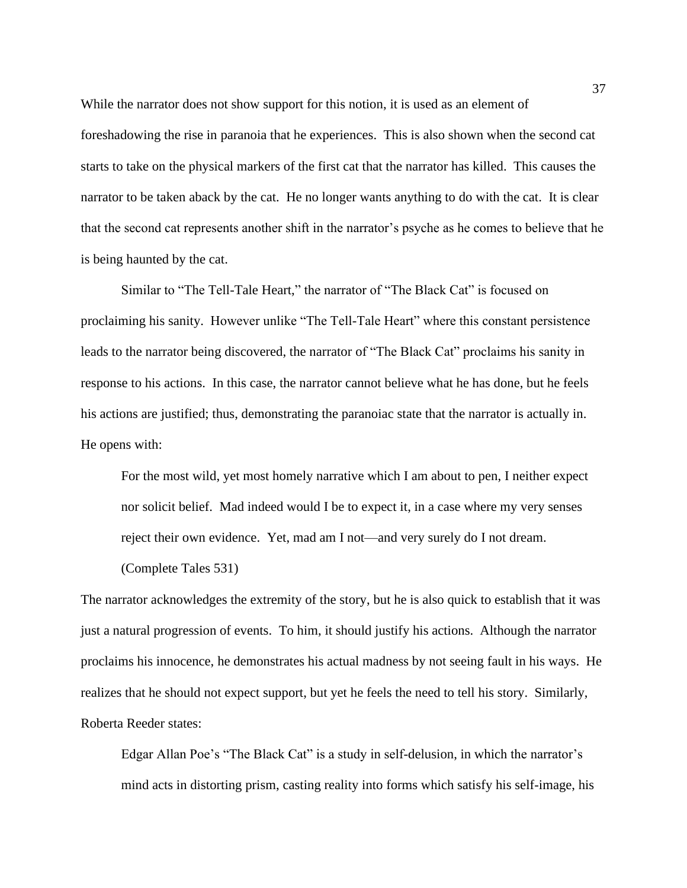While the narrator does not show support for this notion, it is used as an element of foreshadowing the rise in paranoia that he experiences. This is also shown when the second cat starts to take on the physical markers of the first cat that the narrator has killed. This causes the narrator to be taken aback by the cat. He no longer wants anything to do with the cat. It is clear that the second cat represents another shift in the narrator's psyche as he comes to believe that he is being haunted by the cat.

Similar to "The Tell-Tale Heart," the narrator of "The Black Cat" is focused on proclaiming his sanity. However unlike "The Tell-Tale Heart" where this constant persistence leads to the narrator being discovered, the narrator of "The Black Cat" proclaims his sanity in response to his actions. In this case, the narrator cannot believe what he has done, but he feels his actions are justified; thus, demonstrating the paranoiac state that the narrator is actually in. He opens with:

For the most wild, yet most homely narrative which I am about to pen, I neither expect nor solicit belief. Mad indeed would I be to expect it, in a case where my very senses reject their own evidence. Yet, mad am I not—and very surely do I not dream.

(Complete Tales 531)

The narrator acknowledges the extremity of the story, but he is also quick to establish that it was just a natural progression of events. To him, it should justify his actions. Although the narrator proclaims his innocence, he demonstrates his actual madness by not seeing fault in his ways. He realizes that he should not expect support, but yet he feels the need to tell his story. Similarly, Roberta Reeder states:

Edgar Allan Poe's "The Black Cat" is a study in self-delusion, in which the narrator's mind acts in distorting prism, casting reality into forms which satisfy his self-image, his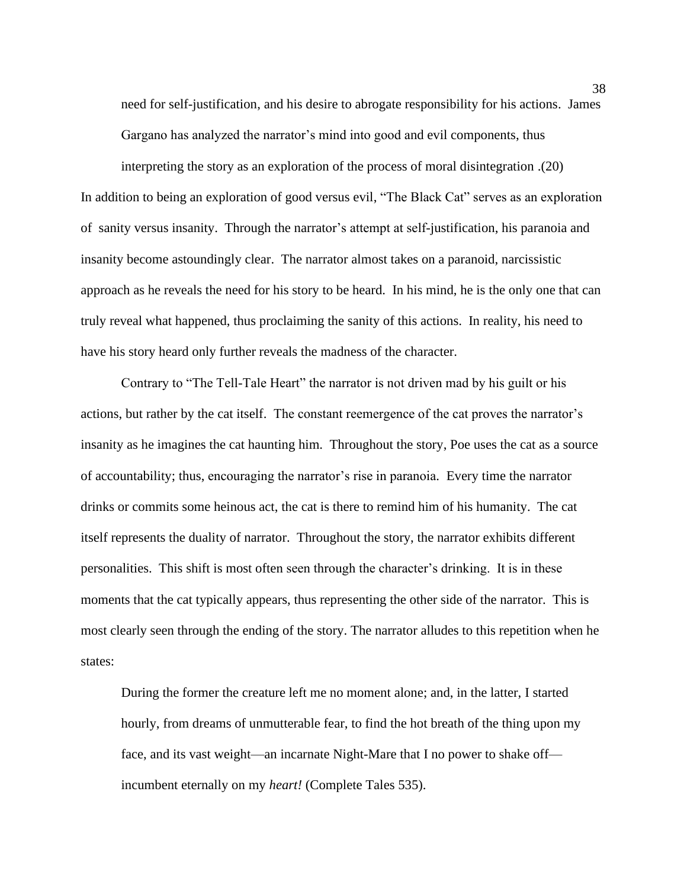need for self-justification, and his desire to abrogate responsibility for his actions. James Gargano has analyzed the narrator's mind into good and evil components, thus

interpreting the story as an exploration of the process of moral disintegration .(20) In addition to being an exploration of good versus evil, "The Black Cat" serves as an exploration of sanity versus insanity. Through the narrator's attempt at self-justification, his paranoia and insanity become astoundingly clear. The narrator almost takes on a paranoid, narcissistic approach as he reveals the need for his story to be heard. In his mind, he is the only one that can truly reveal what happened, thus proclaiming the sanity of this actions. In reality, his need to have his story heard only further reveals the madness of the character.

Contrary to "The Tell-Tale Heart" the narrator is not driven mad by his guilt or his actions, but rather by the cat itself. The constant reemergence of the cat proves the narrator's insanity as he imagines the cat haunting him. Throughout the story, Poe uses the cat as a source of accountability; thus, encouraging the narrator's rise in paranoia. Every time the narrator drinks or commits some heinous act, the cat is there to remind him of his humanity. The cat itself represents the duality of narrator. Throughout the story, the narrator exhibits different personalities. This shift is most often seen through the character's drinking. It is in these moments that the cat typically appears, thus representing the other side of the narrator. This is most clearly seen through the ending of the story. The narrator alludes to this repetition when he states:

During the former the creature left me no moment alone; and, in the latter, I started hourly, from dreams of unmutterable fear, to find the hot breath of the thing upon my face, and its vast weight—an incarnate Night-Mare that I no power to shake off incumbent eternally on my *heart!* (Complete Tales 535).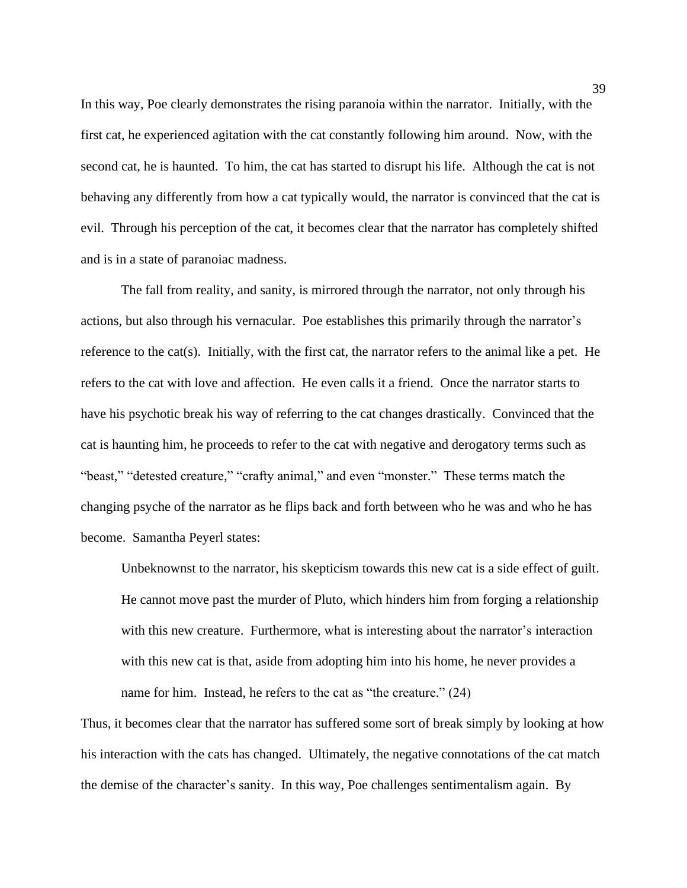In this way, Poe clearly demonstrates the rising paranoia within the narrator. Initially, with the first cat, he experienced agitation with the cat constantly following him around. Now, with the second cat, he is haunted. To him, the cat has started to disrupt his life. Although the cat is not behaving any differently from how a cat typically would, the narrator is convinced that the cat is evil. Through his perception of the cat, it becomes clear that the narrator has completely shifted and is in a state of paranoiac madness.

The fall from reality, and sanity, is mirrored through the narrator, not only through his actions, but also through his vernacular. Poe establishes this primarily through the narrator's reference to the cat(s). Initially, with the first cat, the narrator refers to the animal like a pet. He refers to the cat with love and affection. He even calls it a friend. Once the narrator starts to have his psychotic break his way of referring to the cat changes drastically. Convinced that the cat is haunting him, he proceeds to refer to the cat with negative and derogatory terms such as "beast," "detested creature," "crafty animal," and even "monster." These terms match the changing psyche of the narrator as he flips back and forth between who he was and who he has become. Samantha Peyerl states:

Unbeknownst to the narrator, his skepticism towards this new cat is a side effect of guilt. He cannot move past the murder of Pluto, which hinders him from forging a relationship with this new creature. Furthermore, what is interesting about the narrator's interaction with this new cat is that, aside from adopting him into his home, he never provides a name for him. Instead, he refers to the cat as "the creature." (24)

Thus, it becomes clear that the narrator has suffered some sort of break simply by looking at how his interaction with the cats has changed. Ultimately, the negative connotations of the cat match the demise of the character's sanity. In this way, Poe challenges sentimentalism again. By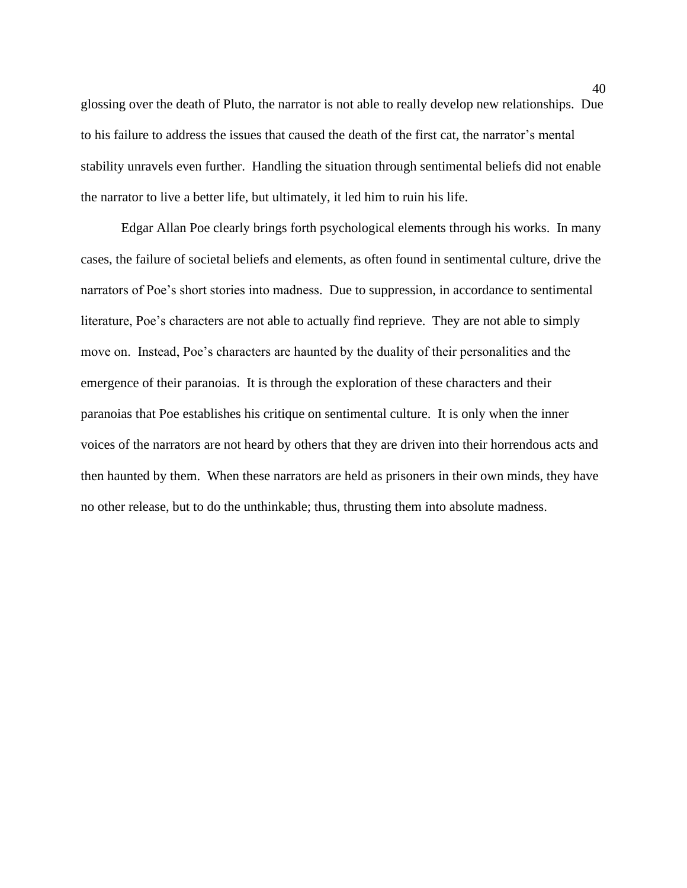glossing over the death of Pluto, the narrator is not able to really develop new relationships. Due to his failure to address the issues that caused the death of the first cat, the narrator's mental stability unravels even further. Handling the situation through sentimental beliefs did not enable the narrator to live a better life, but ultimately, it led him to ruin his life.

Edgar Allan Poe clearly brings forth psychological elements through his works. In many cases, the failure of societal beliefs and elements, as often found in sentimental culture, drive the narrators of Poe's short stories into madness. Due to suppression, in accordance to sentimental literature, Poe's characters are not able to actually find reprieve. They are not able to simply move on. Instead, Poe's characters are haunted by the duality of their personalities and the emergence of their paranoias. It is through the exploration of these characters and their paranoias that Poe establishes his critique on sentimental culture. It is only when the inner voices of the narrators are not heard by others that they are driven into their horrendous acts and then haunted by them. When these narrators are held as prisoners in their own minds, they have no other release, but to do the unthinkable; thus, thrusting them into absolute madness.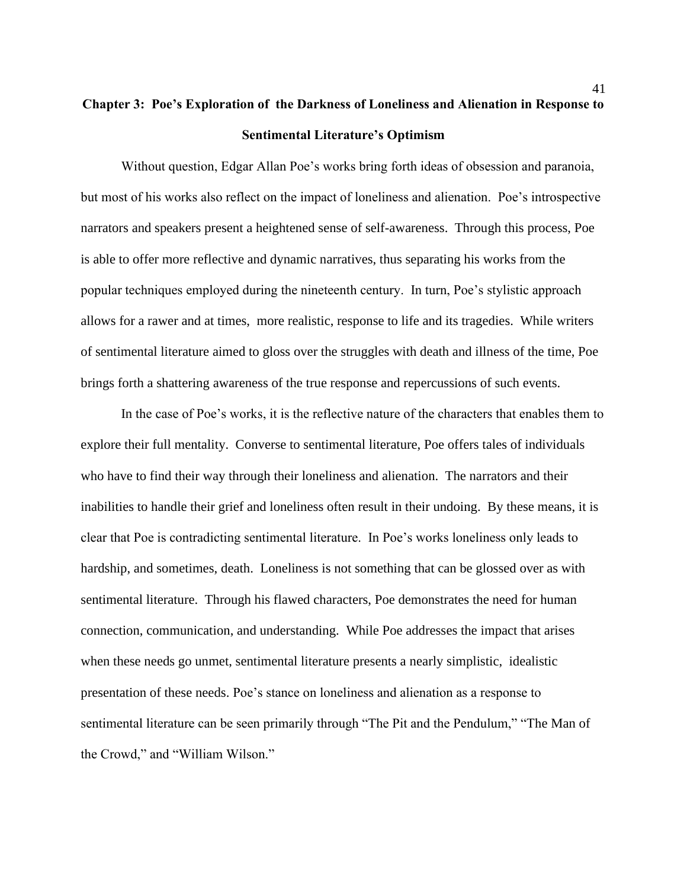# **Chapter 3: Poe's Exploration of the Darkness of Loneliness and Alienation in Response to Sentimental Literature's Optimism**

Without question, Edgar Allan Poe's works bring forth ideas of obsession and paranoia, but most of his works also reflect on the impact of loneliness and alienation. Poe's introspective narrators and speakers present a heightened sense of self-awareness. Through this process, Poe is able to offer more reflective and dynamic narratives, thus separating his works from the popular techniques employed during the nineteenth century. In turn, Poe's stylistic approach allows for a rawer and at times, more realistic, response to life and its tragedies. While writers of sentimental literature aimed to gloss over the struggles with death and illness of the time, Poe brings forth a shattering awareness of the true response and repercussions of such events.

In the case of Poe's works, it is the reflective nature of the characters that enables them to explore their full mentality. Converse to sentimental literature, Poe offers tales of individuals who have to find their way through their loneliness and alienation. The narrators and their inabilities to handle their grief and loneliness often result in their undoing. By these means, it is clear that Poe is contradicting sentimental literature. In Poe's works loneliness only leads to hardship, and sometimes, death. Loneliness is not something that can be glossed over as with sentimental literature. Through his flawed characters, Poe demonstrates the need for human connection, communication, and understanding. While Poe addresses the impact that arises when these needs go unmet, sentimental literature presents a nearly simplistic, idealistic presentation of these needs. Poe's stance on loneliness and alienation as a response to sentimental literature can be seen primarily through "The Pit and the Pendulum," "The Man of the Crowd," and "William Wilson."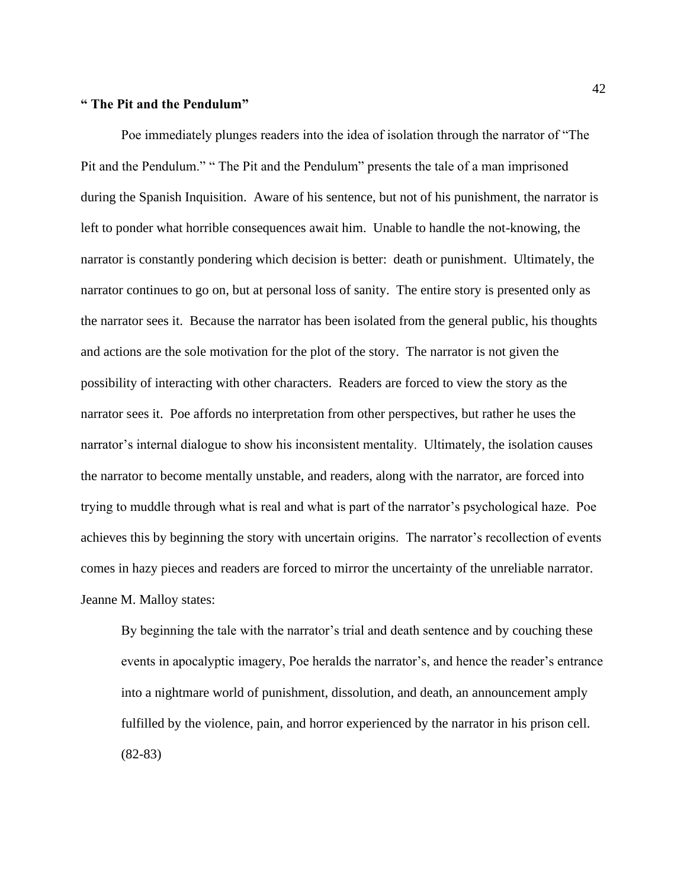#### **" The Pit and the Pendulum"**

Poe immediately plunges readers into the idea of isolation through the narrator of "The Pit and the Pendulum." " The Pit and the Pendulum" presents the tale of a man imprisoned during the Spanish Inquisition. Aware of his sentence, but not of his punishment, the narrator is left to ponder what horrible consequences await him. Unable to handle the not-knowing, the narrator is constantly pondering which decision is better: death or punishment. Ultimately, the narrator continues to go on, but at personal loss of sanity. The entire story is presented only as the narrator sees it. Because the narrator has been isolated from the general public, his thoughts and actions are the sole motivation for the plot of the story. The narrator is not given the possibility of interacting with other characters. Readers are forced to view the story as the narrator sees it. Poe affords no interpretation from other perspectives, but rather he uses the narrator's internal dialogue to show his inconsistent mentality. Ultimately, the isolation causes the narrator to become mentally unstable, and readers, along with the narrator, are forced into trying to muddle through what is real and what is part of the narrator's psychological haze. Poe achieves this by beginning the story with uncertain origins. The narrator's recollection of events comes in hazy pieces and readers are forced to mirror the uncertainty of the unreliable narrator. Jeanne M. Malloy states:

By beginning the tale with the narrator's trial and death sentence and by couching these events in apocalyptic imagery, Poe heralds the narrator's, and hence the reader's entrance into a nightmare world of punishment, dissolution, and death, an announcement amply fulfilled by the violence, pain, and horror experienced by the narrator in his prison cell. (82-83)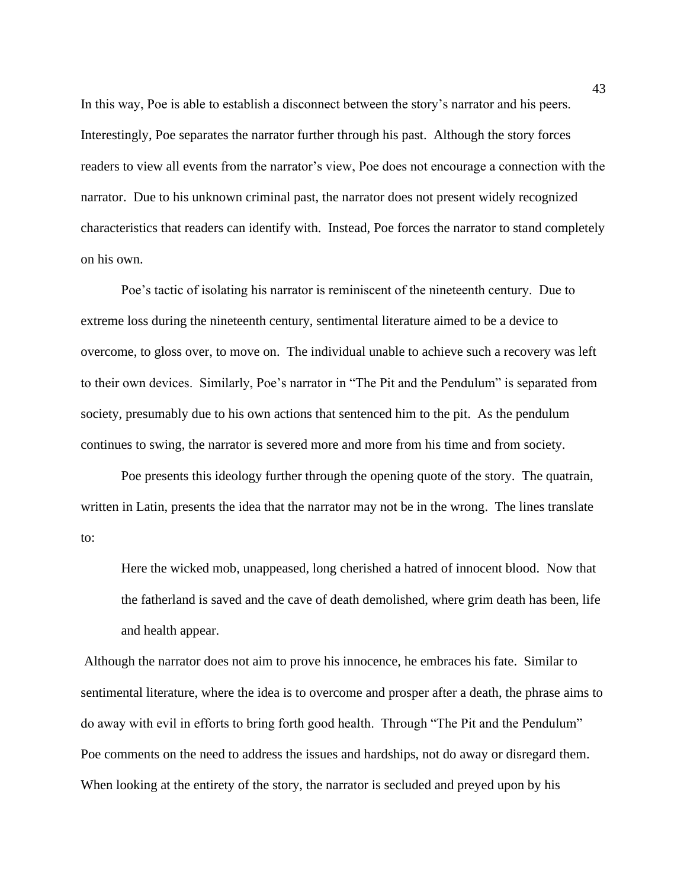In this way, Poe is able to establish a disconnect between the story's narrator and his peers. Interestingly, Poe separates the narrator further through his past. Although the story forces readers to view all events from the narrator's view, Poe does not encourage a connection with the narrator. Due to his unknown criminal past, the narrator does not present widely recognized characteristics that readers can identify with. Instead, Poe forces the narrator to stand completely on his own.

Poe's tactic of isolating his narrator is reminiscent of the nineteenth century. Due to extreme loss during the nineteenth century, sentimental literature aimed to be a device to overcome, to gloss over, to move on. The individual unable to achieve such a recovery was left to their own devices. Similarly, Poe's narrator in "The Pit and the Pendulum" is separated from society, presumably due to his own actions that sentenced him to the pit. As the pendulum continues to swing, the narrator is severed more and more from his time and from society.

Poe presents this ideology further through the opening quote of the story. The quatrain, written in Latin, presents the idea that the narrator may not be in the wrong. The lines translate to:

Here the wicked mob, unappeased, long cherished a hatred of innocent blood. Now that the fatherland is saved and the cave of death demolished, where grim death has been, life and health appear.

Although the narrator does not aim to prove his innocence, he embraces his fate. Similar to sentimental literature, where the idea is to overcome and prosper after a death, the phrase aims to do away with evil in efforts to bring forth good health. Through "The Pit and the Pendulum" Poe comments on the need to address the issues and hardships, not do away or disregard them. When looking at the entirety of the story, the narrator is secluded and preyed upon by his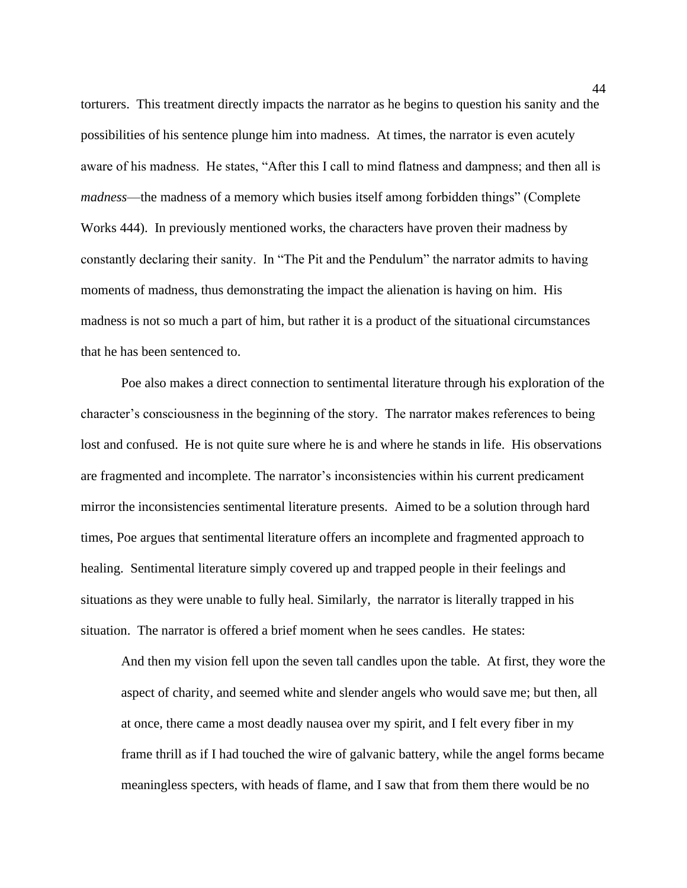torturers. This treatment directly impacts the narrator as he begins to question his sanity and the possibilities of his sentence plunge him into madness. At times, the narrator is even acutely aware of his madness. He states, "After this I call to mind flatness and dampness; and then all is *madness*—the madness of a memory which busies itself among forbidden things" (Complete Works 444). In previously mentioned works, the characters have proven their madness by constantly declaring their sanity. In "The Pit and the Pendulum" the narrator admits to having moments of madness, thus demonstrating the impact the alienation is having on him. His madness is not so much a part of him, but rather it is a product of the situational circumstances that he has been sentenced to.

Poe also makes a direct connection to sentimental literature through his exploration of the character's consciousness in the beginning of the story. The narrator makes references to being lost and confused. He is not quite sure where he is and where he stands in life. His observations are fragmented and incomplete. The narrator's inconsistencies within his current predicament mirror the inconsistencies sentimental literature presents. Aimed to be a solution through hard times, Poe argues that sentimental literature offers an incomplete and fragmented approach to healing. Sentimental literature simply covered up and trapped people in their feelings and situations as they were unable to fully heal. Similarly, the narrator is literally trapped in his situation. The narrator is offered a brief moment when he sees candles. He states:

And then my vision fell upon the seven tall candles upon the table. At first, they wore the aspect of charity, and seemed white and slender angels who would save me; but then, all at once, there came a most deadly nausea over my spirit, and I felt every fiber in my frame thrill as if I had touched the wire of galvanic battery, while the angel forms became meaningless specters, with heads of flame, and I saw that from them there would be no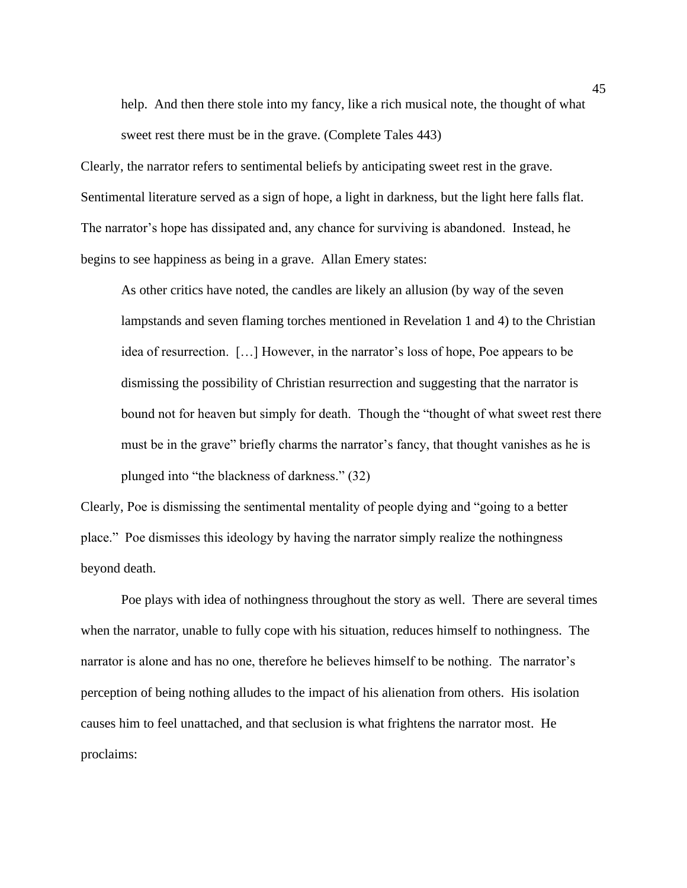help. And then there stole into my fancy, like a rich musical note, the thought of what sweet rest there must be in the grave. (Complete Tales 443)

Clearly, the narrator refers to sentimental beliefs by anticipating sweet rest in the grave. Sentimental literature served as a sign of hope, a light in darkness, but the light here falls flat. The narrator's hope has dissipated and, any chance for surviving is abandoned. Instead, he begins to see happiness as being in a grave. Allan Emery states:

As other critics have noted, the candles are likely an allusion (by way of the seven lampstands and seven flaming torches mentioned in Revelation 1 and 4) to the Christian idea of resurrection. […] However, in the narrator's loss of hope, Poe appears to be dismissing the possibility of Christian resurrection and suggesting that the narrator is bound not for heaven but simply for death. Though the "thought of what sweet rest there must be in the grave" briefly charms the narrator's fancy, that thought vanishes as he is plunged into "the blackness of darkness." (32)

Clearly, Poe is dismissing the sentimental mentality of people dying and "going to a better place." Poe dismisses this ideology by having the narrator simply realize the nothingness beyond death.

Poe plays with idea of nothingness throughout the story as well. There are several times when the narrator, unable to fully cope with his situation, reduces himself to nothingness. The narrator is alone and has no one, therefore he believes himself to be nothing. The narrator's perception of being nothing alludes to the impact of his alienation from others. His isolation causes him to feel unattached, and that seclusion is what frightens the narrator most. He proclaims: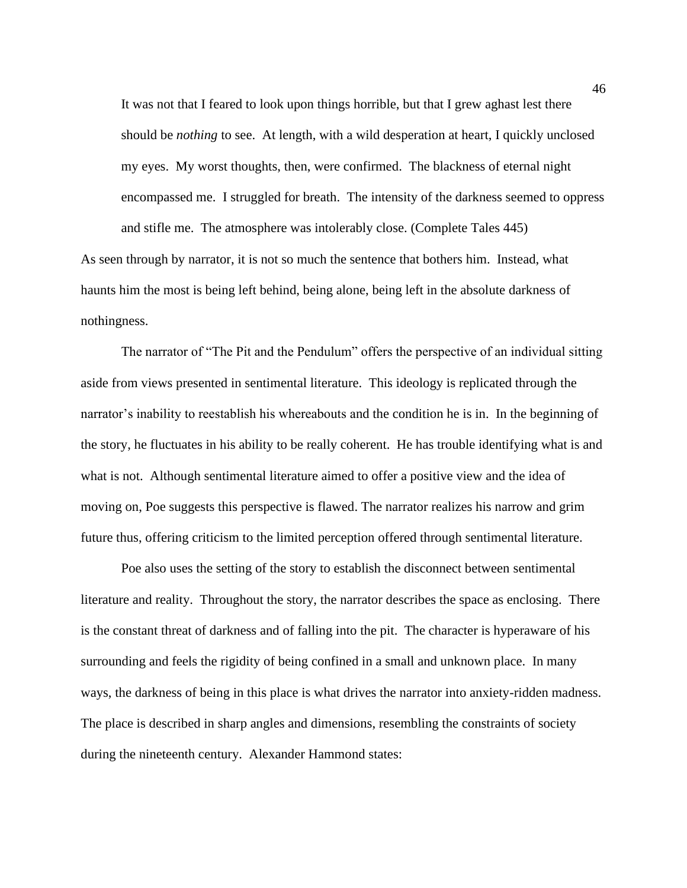It was not that I feared to look upon things horrible, but that I grew aghast lest there should be *nothing* to see. At length, with a wild desperation at heart, I quickly unclosed my eyes. My worst thoughts, then, were confirmed. The blackness of eternal night encompassed me. I struggled for breath. The intensity of the darkness seemed to oppress and stifle me. The atmosphere was intolerably close. (Complete Tales 445)

As seen through by narrator, it is not so much the sentence that bothers him. Instead, what haunts him the most is being left behind, being alone, being left in the absolute darkness of nothingness.

The narrator of "The Pit and the Pendulum" offers the perspective of an individual sitting aside from views presented in sentimental literature. This ideology is replicated through the narrator's inability to reestablish his whereabouts and the condition he is in. In the beginning of the story, he fluctuates in his ability to be really coherent. He has trouble identifying what is and what is not. Although sentimental literature aimed to offer a positive view and the idea of moving on, Poe suggests this perspective is flawed. The narrator realizes his narrow and grim future thus, offering criticism to the limited perception offered through sentimental literature.

Poe also uses the setting of the story to establish the disconnect between sentimental literature and reality. Throughout the story, the narrator describes the space as enclosing. There is the constant threat of darkness and of falling into the pit. The character is hyperaware of his surrounding and feels the rigidity of being confined in a small and unknown place. In many ways, the darkness of being in this place is what drives the narrator into anxiety-ridden madness. The place is described in sharp angles and dimensions, resembling the constraints of society during the nineteenth century. Alexander Hammond states: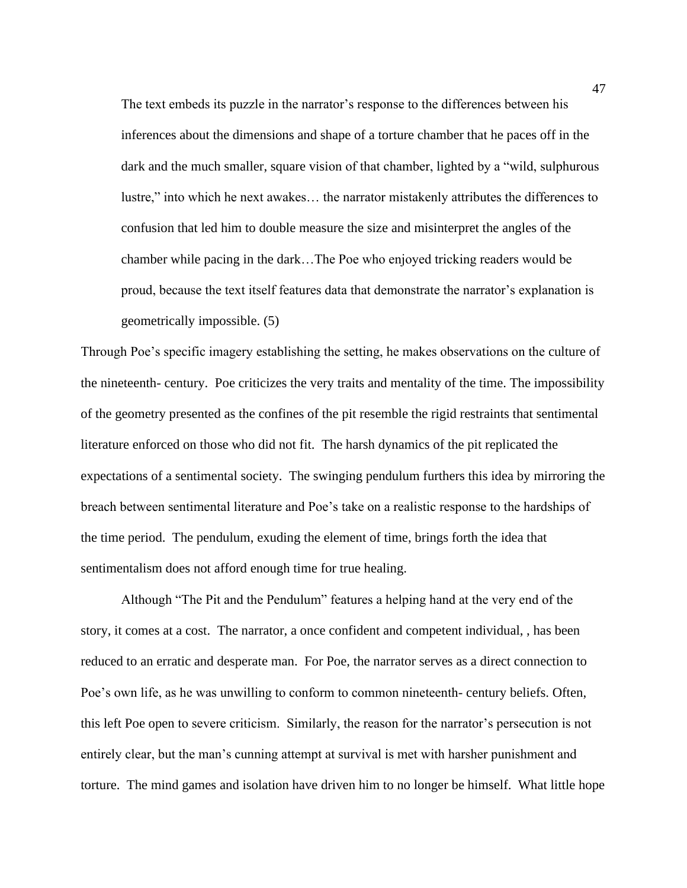The text embeds its puzzle in the narrator's response to the differences between his inferences about the dimensions and shape of a torture chamber that he paces off in the dark and the much smaller, square vision of that chamber, lighted by a "wild, sulphurous lustre," into which he next awakes… the narrator mistakenly attributes the differences to confusion that led him to double measure the size and misinterpret the angles of the chamber while pacing in the dark…The Poe who enjoyed tricking readers would be proud, because the text itself features data that demonstrate the narrator's explanation is geometrically impossible. (5)

Through Poe's specific imagery establishing the setting, he makes observations on the culture of the nineteenth- century. Poe criticizes the very traits and mentality of the time. The impossibility of the geometry presented as the confines of the pit resemble the rigid restraints that sentimental literature enforced on those who did not fit. The harsh dynamics of the pit replicated the expectations of a sentimental society. The swinging pendulum furthers this idea by mirroring the breach between sentimental literature and Poe's take on a realistic response to the hardships of the time period. The pendulum, exuding the element of time, brings forth the idea that sentimentalism does not afford enough time for true healing.

Although "The Pit and the Pendulum" features a helping hand at the very end of the story, it comes at a cost. The narrator, a once confident and competent individual, , has been reduced to an erratic and desperate man. For Poe, the narrator serves as a direct connection to Poe's own life, as he was unwilling to conform to common nineteenth- century beliefs. Often, this left Poe open to severe criticism. Similarly, the reason for the narrator's persecution is not entirely clear, but the man's cunning attempt at survival is met with harsher punishment and torture. The mind games and isolation have driven him to no longer be himself. What little hope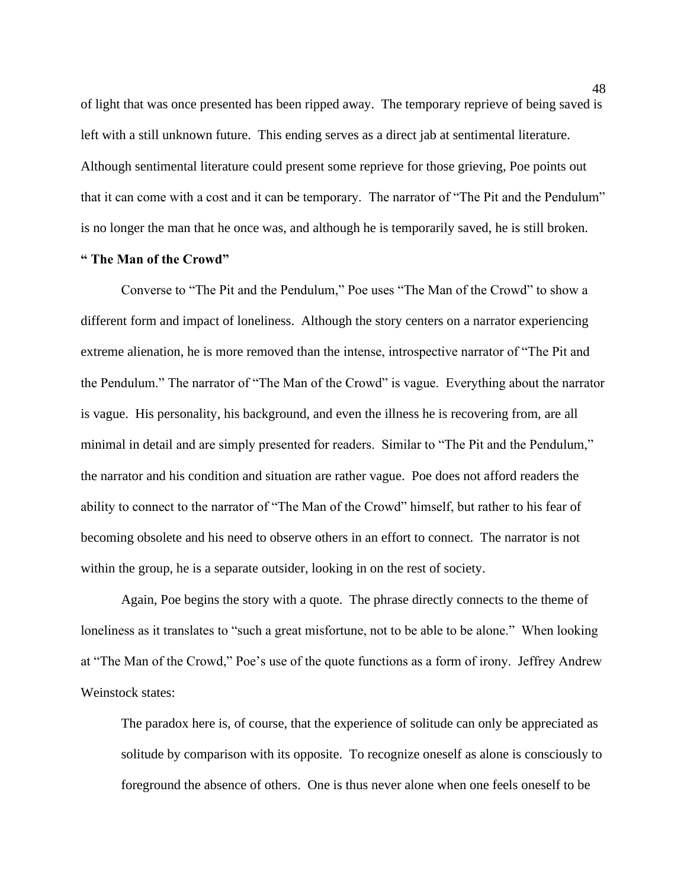of light that was once presented has been ripped away. The temporary reprieve of being saved is left with a still unknown future. This ending serves as a direct jab at sentimental literature. Although sentimental literature could present some reprieve for those grieving, Poe points out that it can come with a cost and it can be temporary. The narrator of "The Pit and the Pendulum" is no longer the man that he once was, and although he is temporarily saved, he is still broken.

### **" The Man of the Crowd"**

Converse to "The Pit and the Pendulum," Poe uses "The Man of the Crowd" to show a different form and impact of loneliness. Although the story centers on a narrator experiencing extreme alienation, he is more removed than the intense, introspective narrator of "The Pit and the Pendulum." The narrator of "The Man of the Crowd" is vague. Everything about the narrator is vague. His personality, his background, and even the illness he is recovering from, are all minimal in detail and are simply presented for readers. Similar to "The Pit and the Pendulum," the narrator and his condition and situation are rather vague. Poe does not afford readers the ability to connect to the narrator of "The Man of the Crowd" himself, but rather to his fear of becoming obsolete and his need to observe others in an effort to connect. The narrator is not within the group, he is a separate outsider, looking in on the rest of society.

Again, Poe begins the story with a quote. The phrase directly connects to the theme of loneliness as it translates to "such a great misfortune, not to be able to be alone." When looking at "The Man of the Crowd," Poe's use of the quote functions as a form of irony. Jeffrey Andrew Weinstock states:

The paradox here is, of course, that the experience of solitude can only be appreciated as solitude by comparison with its opposite. To recognize oneself as alone is consciously to foreground the absence of others. One is thus never alone when one feels oneself to be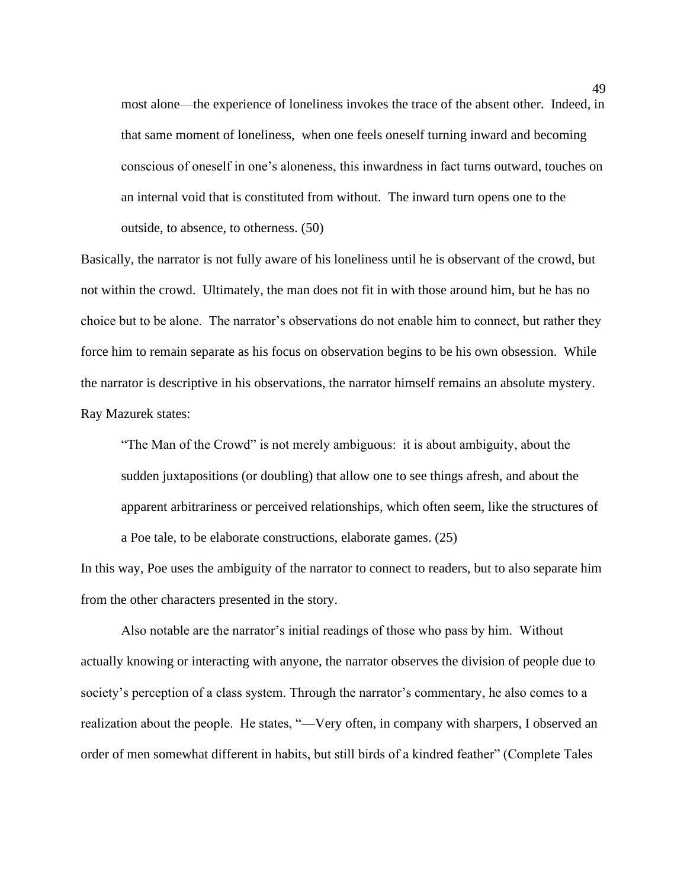most alone—the experience of loneliness invokes the trace of the absent other. Indeed, in that same moment of loneliness, when one feels oneself turning inward and becoming conscious of oneself in one's aloneness, this inwardness in fact turns outward, touches on an internal void that is constituted from without. The inward turn opens one to the outside, to absence, to otherness. (50)

Basically, the narrator is not fully aware of his loneliness until he is observant of the crowd, but not within the crowd. Ultimately, the man does not fit in with those around him, but he has no choice but to be alone. The narrator's observations do not enable him to connect, but rather they force him to remain separate as his focus on observation begins to be his own obsession. While the narrator is descriptive in his observations, the narrator himself remains an absolute mystery. Ray Mazurek states:

"The Man of the Crowd" is not merely ambiguous: it is about ambiguity, about the sudden juxtapositions (or doubling) that allow one to see things afresh, and about the apparent arbitrariness or perceived relationships, which often seem, like the structures of

a Poe tale, to be elaborate constructions, elaborate games. (25)

In this way, Poe uses the ambiguity of the narrator to connect to readers, but to also separate him from the other characters presented in the story.

Also notable are the narrator's initial readings of those who pass by him. Without actually knowing or interacting with anyone, the narrator observes the division of people due to society's perception of a class system. Through the narrator's commentary, he also comes to a realization about the people. He states, "—Very often, in company with sharpers, I observed an order of men somewhat different in habits, but still birds of a kindred feather" (Complete Tales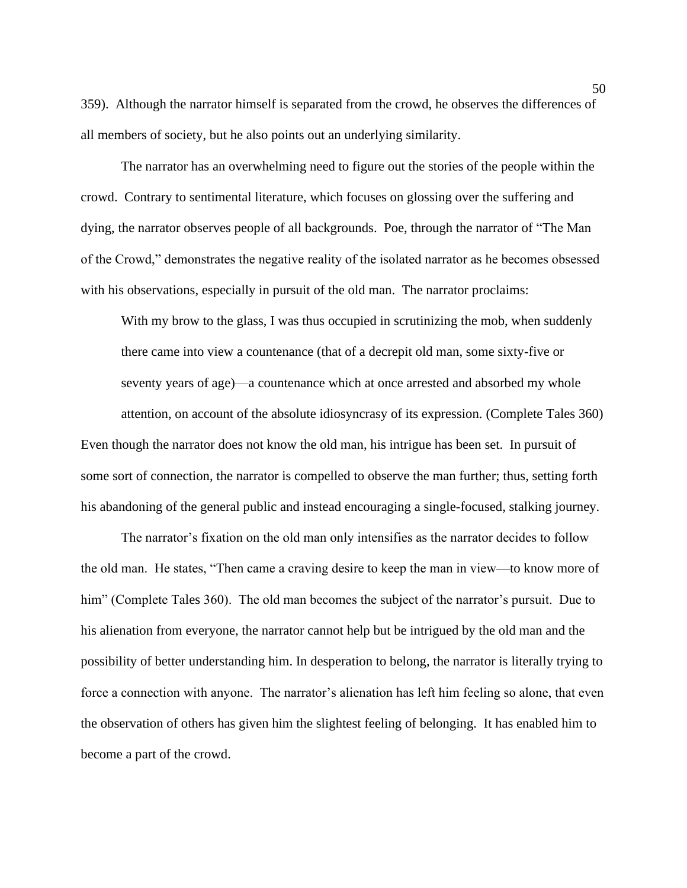359). Although the narrator himself is separated from the crowd, he observes the differences of all members of society, but he also points out an underlying similarity.

The narrator has an overwhelming need to figure out the stories of the people within the crowd. Contrary to sentimental literature, which focuses on glossing over the suffering and dying, the narrator observes people of all backgrounds. Poe, through the narrator of "The Man of the Crowd," demonstrates the negative reality of the isolated narrator as he becomes obsessed with his observations, especially in pursuit of the old man. The narrator proclaims:

With my brow to the glass, I was thus occupied in scrutinizing the mob, when suddenly there came into view a countenance (that of a decrepit old man, some sixty-five or seventy years of age)—a countenance which at once arrested and absorbed my whole attention, on account of the absolute idiosyncrasy of its expression. (Complete Tales 360) Even though the narrator does not know the old man, his intrigue has been set. In pursuit of some sort of connection, the narrator is compelled to observe the man further; thus, setting forth his abandoning of the general public and instead encouraging a single-focused, stalking journey.

The narrator's fixation on the old man only intensifies as the narrator decides to follow the old man. He states, "Then came a craving desire to keep the man in view—to know more of him" (Complete Tales 360). The old man becomes the subject of the narrator's pursuit. Due to his alienation from everyone, the narrator cannot help but be intrigued by the old man and the possibility of better understanding him. In desperation to belong, the narrator is literally trying to force a connection with anyone. The narrator's alienation has left him feeling so alone, that even the observation of others has given him the slightest feeling of belonging. It has enabled him to become a part of the crowd.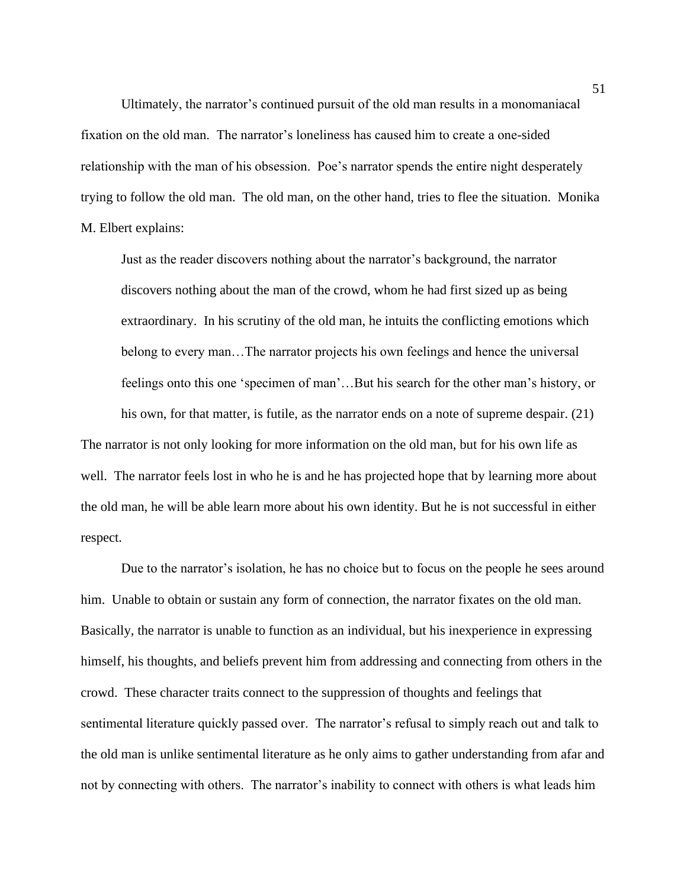Ultimately, the narrator's continued pursuit of the old man results in a monomaniacal fixation on the old man. The narrator's loneliness has caused him to create a one-sided relationship with the man of his obsession. Poe's narrator spends the entire night desperately trying to follow the old man. The old man, on the other hand, tries to flee the situation. Monika M. Elbert explains:

Just as the reader discovers nothing about the narrator's background, the narrator discovers nothing about the man of the crowd, whom he had first sized up as being extraordinary. In his scrutiny of the old man, he intuits the conflicting emotions which belong to every man…The narrator projects his own feelings and hence the universal feelings onto this one 'specimen of man'…But his search for the other man's history, or his own, for that matter, is futile, as the narrator ends on a note of supreme despair. (21)

The narrator is not only looking for more information on the old man, but for his own life as well. The narrator feels lost in who he is and he has projected hope that by learning more about the old man, he will be able learn more about his own identity. But he is not successful in either respect.

Due to the narrator's isolation, he has no choice but to focus on the people he sees around him. Unable to obtain or sustain any form of connection, the narrator fixates on the old man. Basically, the narrator is unable to function as an individual, but his inexperience in expressing himself, his thoughts, and beliefs prevent him from addressing and connecting from others in the crowd. These character traits connect to the suppression of thoughts and feelings that sentimental literature quickly passed over. The narrator's refusal to simply reach out and talk to the old man is unlike sentimental literature as he only aims to gather understanding from afar and not by connecting with others. The narrator's inability to connect with others is what leads him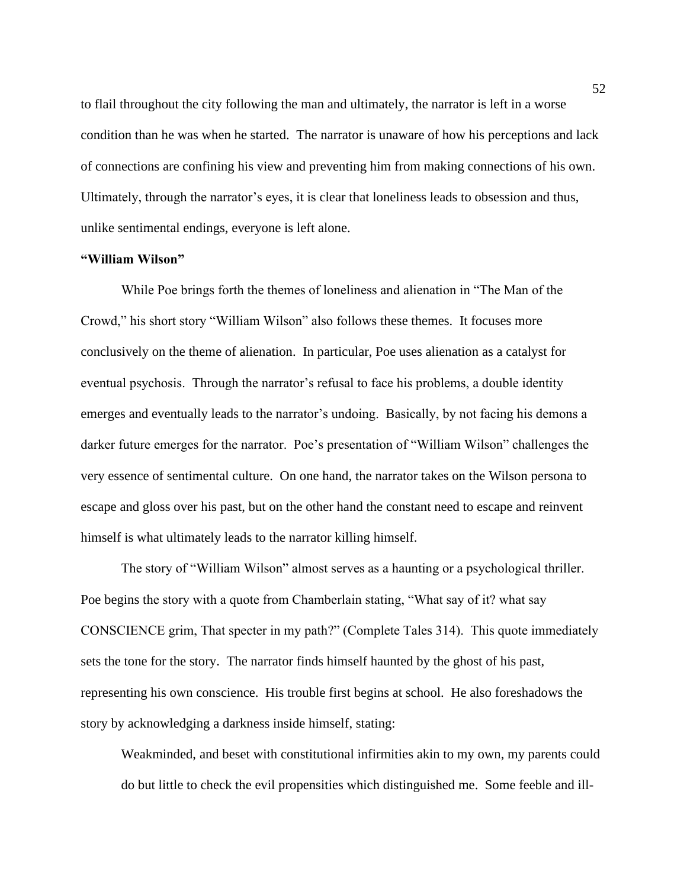to flail throughout the city following the man and ultimately, the narrator is left in a worse condition than he was when he started. The narrator is unaware of how his perceptions and lack of connections are confining his view and preventing him from making connections of his own. Ultimately, through the narrator's eyes, it is clear that loneliness leads to obsession and thus, unlike sentimental endings, everyone is left alone.

#### **"William Wilson"**

While Poe brings forth the themes of loneliness and alienation in "The Man of the Crowd," his short story "William Wilson" also follows these themes. It focuses more conclusively on the theme of alienation. In particular, Poe uses alienation as a catalyst for eventual psychosis. Through the narrator's refusal to face his problems, a double identity emerges and eventually leads to the narrator's undoing. Basically, by not facing his demons a darker future emerges for the narrator. Poe's presentation of "William Wilson" challenges the very essence of sentimental culture. On one hand, the narrator takes on the Wilson persona to escape and gloss over his past, but on the other hand the constant need to escape and reinvent himself is what ultimately leads to the narrator killing himself.

The story of "William Wilson" almost serves as a haunting or a psychological thriller. Poe begins the story with a quote from Chamberlain stating, "What say of it? what say CONSCIENCE grim, That specter in my path?" (Complete Tales 314). This quote immediately sets the tone for the story. The narrator finds himself haunted by the ghost of his past, representing his own conscience. His trouble first begins at school. He also foreshadows the story by acknowledging a darkness inside himself, stating:

Weakminded, and beset with constitutional infirmities akin to my own, my parents could do but little to check the evil propensities which distinguished me. Some feeble and ill-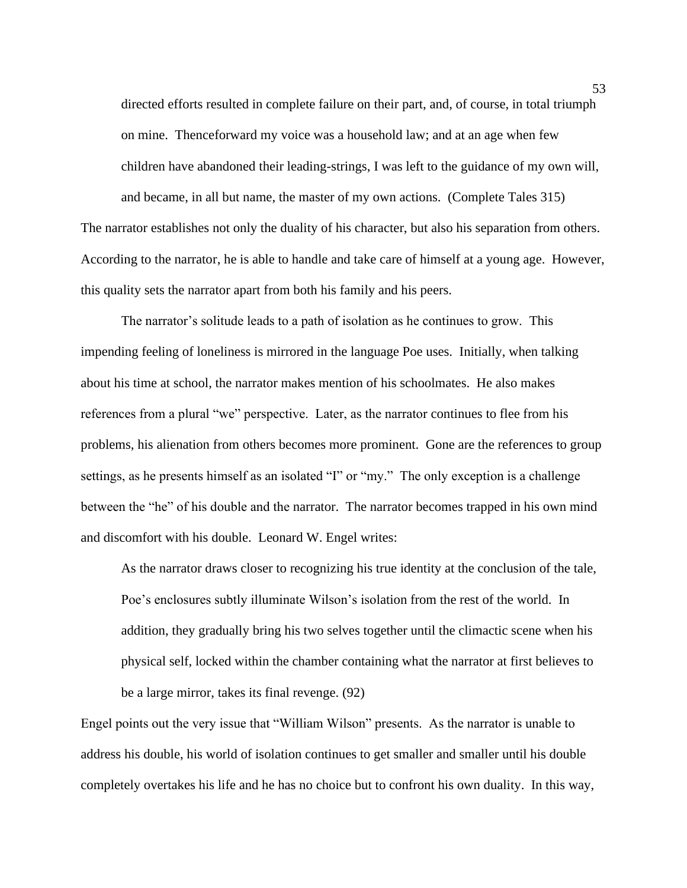directed efforts resulted in complete failure on their part, and, of course, in total triumph on mine. Thenceforward my voice was a household law; and at an age when few children have abandoned their leading-strings, I was left to the guidance of my own will, and became, in all but name, the master of my own actions. (Complete Tales 315) The narrator establishes not only the duality of his character, but also his separation from others.

According to the narrator, he is able to handle and take care of himself at a young age. However, this quality sets the narrator apart from both his family and his peers.

The narrator's solitude leads to a path of isolation as he continues to grow. This impending feeling of loneliness is mirrored in the language Poe uses. Initially, when talking about his time at school, the narrator makes mention of his schoolmates. He also makes references from a plural "we" perspective. Later, as the narrator continues to flee from his problems, his alienation from others becomes more prominent. Gone are the references to group settings, as he presents himself as an isolated "I" or "my." The only exception is a challenge between the "he" of his double and the narrator. The narrator becomes trapped in his own mind and discomfort with his double. Leonard W. Engel writes:

As the narrator draws closer to recognizing his true identity at the conclusion of the tale, Poe's enclosures subtly illuminate Wilson's isolation from the rest of the world. In addition, they gradually bring his two selves together until the climactic scene when his physical self, locked within the chamber containing what the narrator at first believes to be a large mirror, takes its final revenge. (92)

Engel points out the very issue that "William Wilson" presents. As the narrator is unable to address his double, his world of isolation continues to get smaller and smaller until his double completely overtakes his life and he has no choice but to confront his own duality. In this way,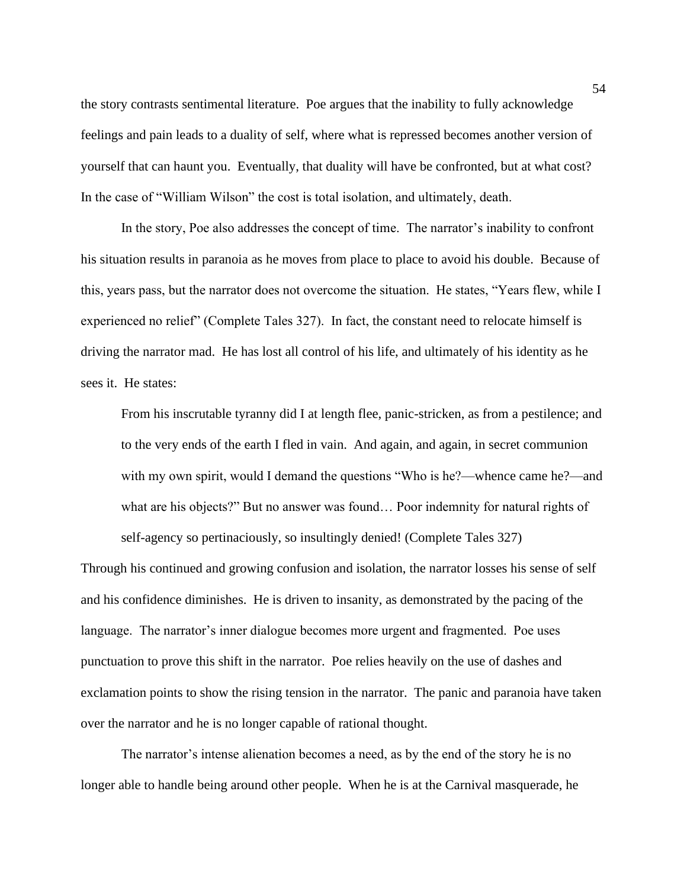the story contrasts sentimental literature. Poe argues that the inability to fully acknowledge feelings and pain leads to a duality of self, where what is repressed becomes another version of yourself that can haunt you. Eventually, that duality will have be confronted, but at what cost? In the case of "William Wilson" the cost is total isolation, and ultimately, death.

In the story, Poe also addresses the concept of time. The narrator's inability to confront his situation results in paranoia as he moves from place to place to avoid his double. Because of this, years pass, but the narrator does not overcome the situation. He states, "Years flew, while I experienced no relief" (Complete Tales 327). In fact, the constant need to relocate himself is driving the narrator mad. He has lost all control of his life, and ultimately of his identity as he sees it. He states:

From his inscrutable tyranny did I at length flee, panic-stricken, as from a pestilence; and to the very ends of the earth I fled in vain. And again, and again, in secret communion with my own spirit, would I demand the questions "Who is he?—whence came he?—and what are his objects?" But no answer was found… Poor indemnity for natural rights of self-agency so pertinaciously, so insultingly denied! (Complete Tales 327)

Through his continued and growing confusion and isolation, the narrator losses his sense of self and his confidence diminishes. He is driven to insanity, as demonstrated by the pacing of the language. The narrator's inner dialogue becomes more urgent and fragmented. Poe uses punctuation to prove this shift in the narrator. Poe relies heavily on the use of dashes and exclamation points to show the rising tension in the narrator. The panic and paranoia have taken over the narrator and he is no longer capable of rational thought.

The narrator's intense alienation becomes a need, as by the end of the story he is no longer able to handle being around other people. When he is at the Carnival masquerade, he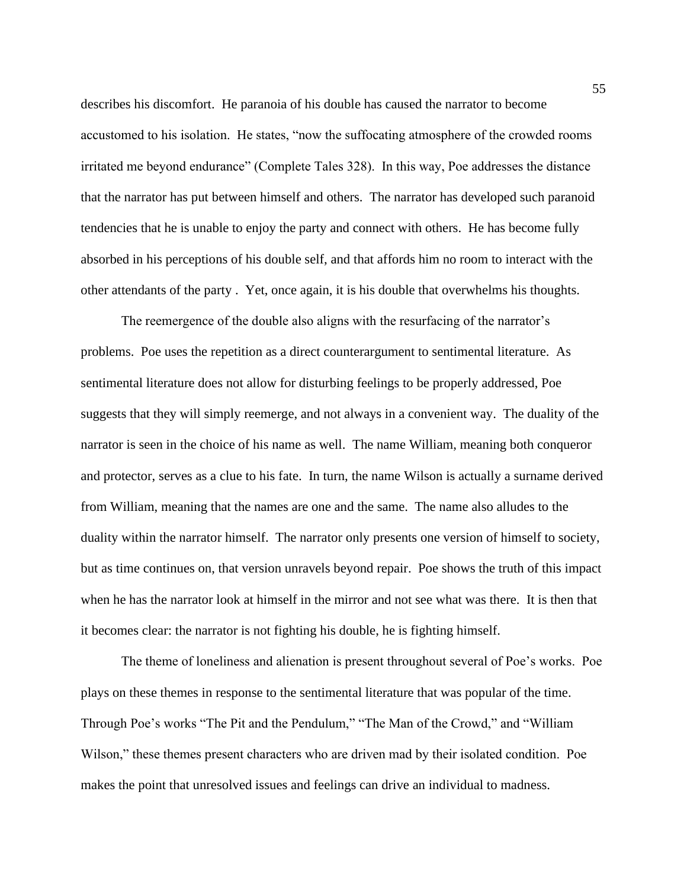describes his discomfort. He paranoia of his double has caused the narrator to become accustomed to his isolation. He states, "now the suffocating atmosphere of the crowded rooms irritated me beyond endurance" (Complete Tales 328). In this way, Poe addresses the distance that the narrator has put between himself and others. The narrator has developed such paranoid tendencies that he is unable to enjoy the party and connect with others. He has become fully absorbed in his perceptions of his double self, and that affords him no room to interact with the other attendants of the party . Yet, once again, it is his double that overwhelms his thoughts.

The reemergence of the double also aligns with the resurfacing of the narrator's problems. Poe uses the repetition as a direct counterargument to sentimental literature. As sentimental literature does not allow for disturbing feelings to be properly addressed, Poe suggests that they will simply reemerge, and not always in a convenient way. The duality of the narrator is seen in the choice of his name as well. The name William, meaning both conqueror and protector, serves as a clue to his fate. In turn, the name Wilson is actually a surname derived from William, meaning that the names are one and the same. The name also alludes to the duality within the narrator himself. The narrator only presents one version of himself to society, but as time continues on, that version unravels beyond repair. Poe shows the truth of this impact when he has the narrator look at himself in the mirror and not see what was there. It is then that it becomes clear: the narrator is not fighting his double, he is fighting himself.

The theme of loneliness and alienation is present throughout several of Poe's works. Poe plays on these themes in response to the sentimental literature that was popular of the time. Through Poe's works "The Pit and the Pendulum," "The Man of the Crowd," and "William Wilson," these themes present characters who are driven mad by their isolated condition. Poe makes the point that unresolved issues and feelings can drive an individual to madness.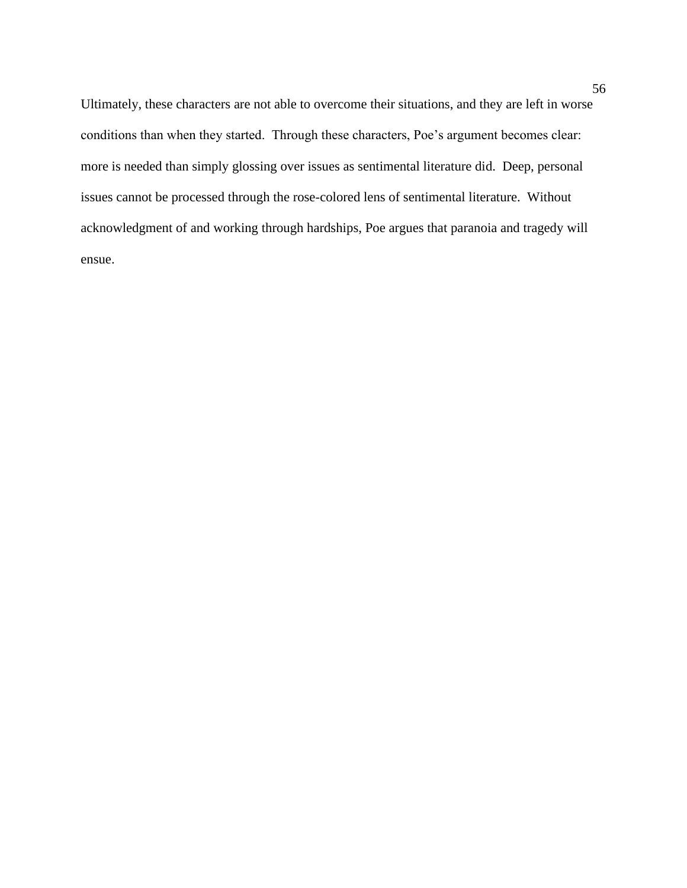Ultimately, these characters are not able to overcome their situations, and they are left in worse conditions than when they started. Through these characters, Poe's argument becomes clear: more is needed than simply glossing over issues as sentimental literature did. Deep, personal issues cannot be processed through the rose-colored lens of sentimental literature. Without acknowledgment of and working through hardships, Poe argues that paranoia and tragedy will ensue.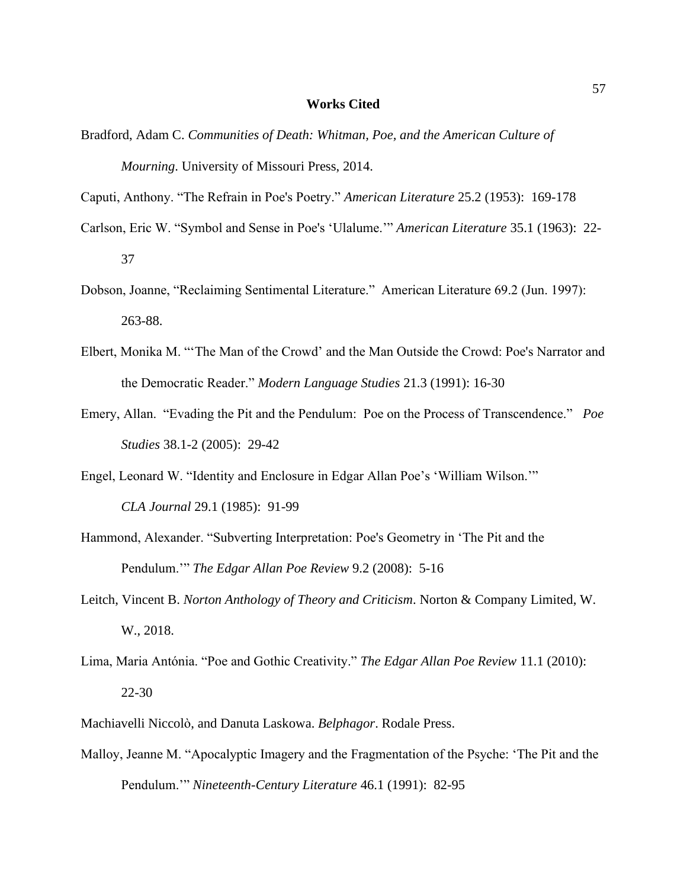#### **Works Cited**

- Bradford, Adam C. *Communities of Death: Whitman, Poe, and the American Culture of Mourning*. University of Missouri Press, 2014.
- Caputi, Anthony. "The Refrain in Poe's Poetry." *American Literature* 25.2 (1953): 169-178
- Carlson, Eric W. "Symbol and Sense in Poe's 'Ulalume.'" *American Literature* 35.1 (1963): 22- 37
- Dobson, Joanne, "Reclaiming Sentimental Literature." American Literature 69.2 (Jun. 1997): 263-88.
- Elbert, Monika M. "'The Man of the Crowd' and the Man Outside the Crowd: Poe's Narrator and the Democratic Reader." *Modern Language Studies* 21.3 (1991): 16-30
- Emery, Allan. "Evading the Pit and the Pendulum: Poe on the Process of Transcendence." *Poe Studies* 38.1-2 (2005): 29-42
- Engel, Leonard W. "Identity and Enclosure in Edgar Allan Poe's 'William Wilson.'" *CLA Journal* 29.1 (1985): 91-99
- Hammond, Alexander. "Subverting Interpretation: Poe's Geometry in 'The Pit and the Pendulum.'" *The Edgar Allan Poe Review* 9.2 (2008): 5-16
- Leitch, Vincent B. *Norton Anthology of Theory and Criticism*. Norton & Company Limited, W. W., 2018.
- Lima, Maria Antónia. "Poe and Gothic Creativity." *The Edgar Allan Poe Review* 11.1 (2010): 22-30
- Machiavelli Niccolò, and Danuta Laskowa. *Belphagor*. Rodale Press.
- Malloy, Jeanne M. "Apocalyptic Imagery and the Fragmentation of the Psyche: 'The Pit and the Pendulum.'" *Nineteenth-Century Literature* 46.1 (1991): 82-95